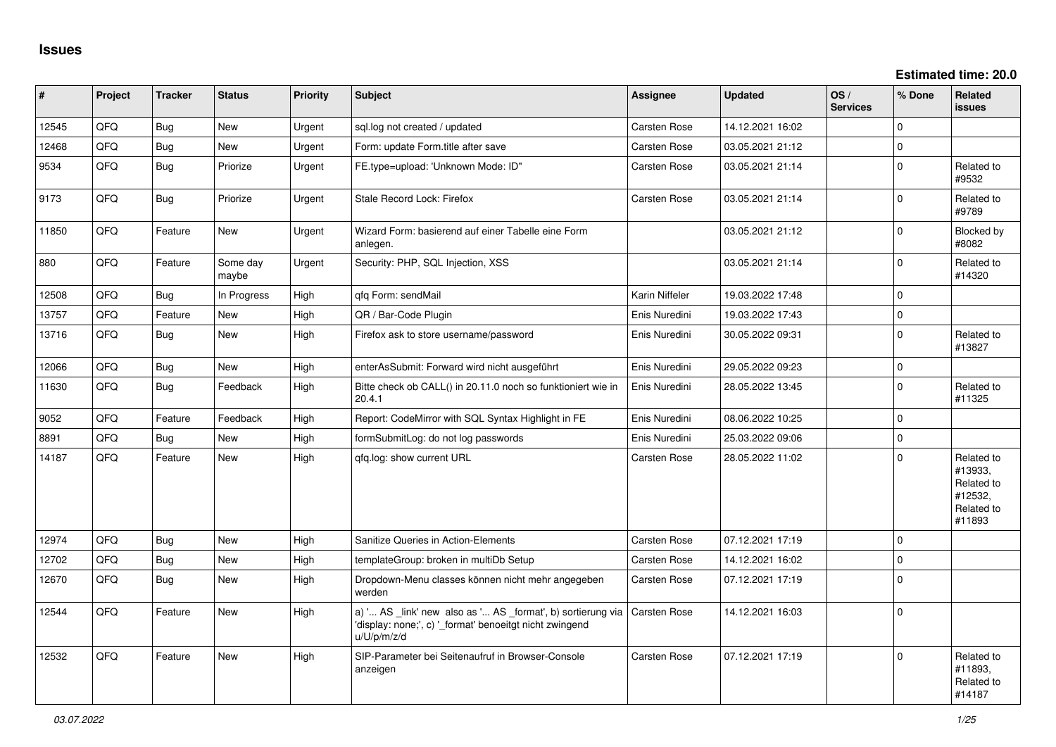**Estimated time: 20.0**

| ∦     | Project | <b>Tracker</b> | <b>Status</b>     | <b>Priority</b> | <b>Subject</b>                                                                                                                        | <b>Assignee</b>     | <b>Updated</b>   | $\log$<br><b>Services</b> | % Done   | Related<br><b>issues</b>                                               |
|-------|---------|----------------|-------------------|-----------------|---------------------------------------------------------------------------------------------------------------------------------------|---------------------|------------------|---------------------------|----------|------------------------------------------------------------------------|
| 12545 | QFQ     | <b>Bug</b>     | <b>New</b>        | Urgent          | sql.log not created / updated                                                                                                         | Carsten Rose        | 14.12.2021 16:02 |                           | $\Omega$ |                                                                        |
| 12468 | QFQ     | Bug            | <b>New</b>        | Urgent          | Form: update Form.title after save                                                                                                    | Carsten Rose        | 03.05.2021 21:12 |                           | $\Omega$ |                                                                        |
| 9534  | QFQ     | Bug            | Priorize          | Urgent          | FE.type=upload: 'Unknown Mode: ID"                                                                                                    | Carsten Rose        | 03.05.2021 21:14 |                           | $\Omega$ | Related to<br>#9532                                                    |
| 9173  | QFQ     | Bug            | Priorize          | Urgent          | Stale Record Lock: Firefox                                                                                                            | Carsten Rose        | 03.05.2021 21:14 |                           | $\Omega$ | Related to<br>#9789                                                    |
| 11850 | QFQ     | Feature        | <b>New</b>        | Urgent          | Wizard Form: basierend auf einer Tabelle eine Form<br>anlegen.                                                                        |                     | 03.05.2021 21:12 |                           | $\Omega$ | Blocked by<br>#8082                                                    |
| 880   | QFQ     | Feature        | Some day<br>maybe | Urgent          | Security: PHP, SQL Injection, XSS                                                                                                     |                     | 03.05.2021 21:14 |                           | $\Omega$ | Related to<br>#14320                                                   |
| 12508 | QFQ     | Bug            | In Progress       | High            | qfq Form: sendMail                                                                                                                    | Karin Niffeler      | 19.03.2022 17:48 |                           | $\Omega$ |                                                                        |
| 13757 | QFQ     | Feature        | <b>New</b>        | High            | QR / Bar-Code Plugin                                                                                                                  | Enis Nuredini       | 19.03.2022 17:43 |                           | $\Omega$ |                                                                        |
| 13716 | QFQ     | <b>Bug</b>     | <b>New</b>        | High            | Firefox ask to store username/password                                                                                                | Enis Nuredini       | 30.05.2022 09:31 |                           | $\Omega$ | Related to<br>#13827                                                   |
| 12066 | QFQ     | <b>Bug</b>     | <b>New</b>        | High            | enterAsSubmit: Forward wird nicht ausgeführt                                                                                          | Enis Nuredini       | 29.05.2022 09:23 |                           | 0        |                                                                        |
| 11630 | QFQ     | <b>Bug</b>     | Feedback          | High            | Bitte check ob CALL() in 20.11.0 noch so funktioniert wie in<br>20.4.1                                                                | Enis Nuredini       | 28.05.2022 13:45 |                           | $\Omega$ | Related to<br>#11325                                                   |
| 9052  | QFQ     | Feature        | Feedback          | High            | Report: CodeMirror with SQL Syntax Highlight in FE                                                                                    | Enis Nuredini       | 08.06.2022 10:25 |                           | $\Omega$ |                                                                        |
| 8891  | QFQ     | Bug            | <b>New</b>        | High            | formSubmitLog: do not log passwords                                                                                                   | Enis Nuredini       | 25.03.2022 09:06 |                           | $\Omega$ |                                                                        |
| 14187 | QFQ     | Feature        | New               | High            | gfg.log: show current URL                                                                                                             | Carsten Rose        | 28.05.2022 11:02 |                           | $\Omega$ | Related to<br>#13933,<br>Related to<br>#12532,<br>Related to<br>#11893 |
| 12974 | QFQ     | <b>Bug</b>     | <b>New</b>        | High            | Sanitize Queries in Action-Elements                                                                                                   | Carsten Rose        | 07.12.2021 17:19 |                           | $\Omega$ |                                                                        |
| 12702 | QFQ     | Bug            | New               | High            | templateGroup: broken in multiDb Setup                                                                                                | Carsten Rose        | 14.12.2021 16:02 |                           | $\Omega$ |                                                                        |
| 12670 | QFQ     | Bug            | New               | High            | Dropdown-Menu classes können nicht mehr angegeben<br>werden                                                                           | Carsten Rose        | 07.12.2021 17:19 |                           | $\Omega$ |                                                                        |
| 12544 | QFQ     | Feature        | New               | High            | a) ' AS _link' new also as ' AS _format', b) sortierung via<br>'display: none;', c) '_format' benoeitgt nicht zwingend<br>u/U/p/m/z/d | Carsten Rose        | 14.12.2021 16:03 |                           | 0        |                                                                        |
| 12532 | QFQ     | Feature        | <b>New</b>        | High            | SIP-Parameter bei Seitenaufruf in Browser-Console<br>anzeigen                                                                         | <b>Carsten Rose</b> | 07.12.2021 17:19 |                           | $\Omega$ | Related to<br>#11893,<br>Related to<br>#14187                          |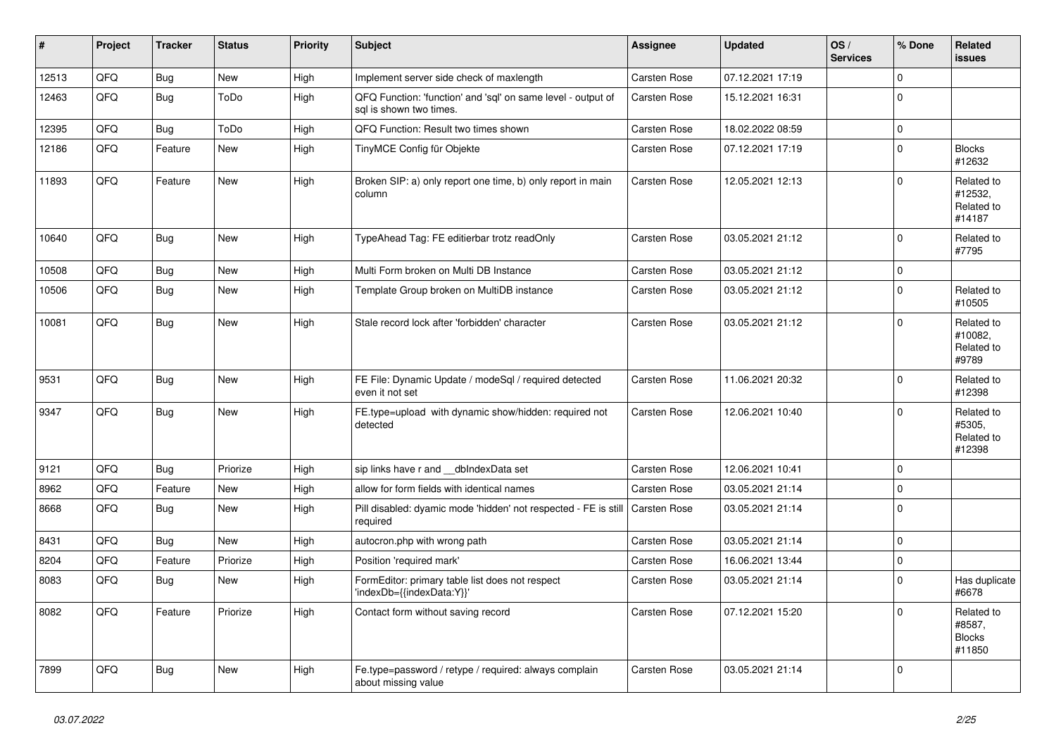| $\vert$ # | Project | <b>Tracker</b> | <b>Status</b> | <b>Priority</b> | <b>Subject</b>                                                                          | <b>Assignee</b>     | <b>Updated</b>   | OS/<br><b>Services</b> | % Done       | Related<br><b>issues</b>                        |
|-----------|---------|----------------|---------------|-----------------|-----------------------------------------------------------------------------------------|---------------------|------------------|------------------------|--------------|-------------------------------------------------|
| 12513     | QFQ     | Bug            | <b>New</b>    | High            | Implement server side check of maxlength                                                | Carsten Rose        | 07.12.2021 17:19 |                        | $\mathbf{0}$ |                                                 |
| 12463     | QFQ     | Bug            | ToDo          | High            | QFQ Function: 'function' and 'sql' on same level - output of<br>sal is shown two times. | Carsten Rose        | 15.12.2021 16:31 |                        | 0            |                                                 |
| 12395     | QFQ     | <b>Bug</b>     | ToDo          | High            | QFQ Function: Result two times shown                                                    | Carsten Rose        | 18.02.2022 08:59 |                        | $\mathbf{0}$ |                                                 |
| 12186     | QFQ     | Feature        | <b>New</b>    | High            | TinyMCE Config für Objekte                                                              | Carsten Rose        | 07.12.2021 17:19 |                        | 0            | <b>Blocks</b><br>#12632                         |
| 11893     | QFQ     | Feature        | New           | High            | Broken SIP: a) only report one time, b) only report in main<br>column                   | Carsten Rose        | 12.05.2021 12:13 |                        | $\mathbf{0}$ | Related to<br>#12532,<br>Related to<br>#14187   |
| 10640     | QFQ     | <b>Bug</b>     | New           | High            | TypeAhead Tag: FE editierbar trotz readOnly                                             | <b>Carsten Rose</b> | 03.05.2021 21:12 |                        | $\Omega$     | Related to<br>#7795                             |
| 10508     | QFQ     | <b>Bug</b>     | New           | High            | Multi Form broken on Multi DB Instance                                                  | Carsten Rose        | 03.05.2021 21:12 |                        | 0            |                                                 |
| 10506     | QFQ     | <b>Bug</b>     | New           | High            | Template Group broken on MultiDB instance                                               | Carsten Rose        | 03.05.2021 21:12 |                        | $\Omega$     | Related to<br>#10505                            |
| 10081     | QFQ     | Bug            | <b>New</b>    | High            | Stale record lock after 'forbidden' character                                           | <b>Carsten Rose</b> | 03.05.2021 21:12 |                        | $\Omega$     | Related to<br>#10082.<br>Related to<br>#9789    |
| 9531      | QFQ     | Bug            | <b>New</b>    | High            | FE File: Dynamic Update / modeSql / required detected<br>even it not set                | Carsten Rose        | 11.06.2021 20:32 |                        | $\Omega$     | Related to<br>#12398                            |
| 9347      | QFQ     | <b>Bug</b>     | <b>New</b>    | High            | FE.type=upload with dynamic show/hidden: required not<br>detected                       | Carsten Rose        | 12.06.2021 10:40 |                        | $\Omega$     | Related to<br>#5305,<br>Related to<br>#12398    |
| 9121      | QFQ     | <b>Bug</b>     | Priorize      | High            | sip links have r and __dbIndexData set                                                  | <b>Carsten Rose</b> | 12.06.2021 10:41 |                        | $\mathbf{0}$ |                                                 |
| 8962      | QFQ     | Feature        | <b>New</b>    | High            | allow for form fields with identical names                                              | <b>Carsten Rose</b> | 03.05.2021 21:14 |                        | $\mathbf 0$  |                                                 |
| 8668      | QFQ     | Bug            | <b>New</b>    | High            | Pill disabled: dyamic mode 'hidden' not respected - FE is still<br>required             | Carsten Rose        | 03.05.2021 21:14 |                        | $\Omega$     |                                                 |
| 8431      | QFQ     | <b>Bug</b>     | New           | High            | autocron.php with wrong path                                                            | Carsten Rose        | 03.05.2021 21:14 |                        | 0            |                                                 |
| 8204      | QFQ     | Feature        | Priorize      | High            | Position 'required mark'                                                                | Carsten Rose        | 16.06.2021 13:44 |                        | $\pmb{0}$    |                                                 |
| 8083      | QFQ     | <b>Bug</b>     | New           | High            | FormEditor: primary table list does not respect<br>'indexDb={{indexData:Y}}'            | Carsten Rose        | 03.05.2021 21:14 |                        | $\mathbf 0$  | Has duplicate<br>#6678                          |
| 8082      | QFQ     | Feature        | Priorize      | High            | Contact form without saving record                                                      | <b>Carsten Rose</b> | 07.12.2021 15:20 |                        | $\Omega$     | Related to<br>#8587,<br><b>Blocks</b><br>#11850 |
| 7899      | QFQ     | <b>Bug</b>     | <b>New</b>    | High            | Fe.type=password / retype / required: always complain<br>about missing value            | Carsten Rose        | 03.05.2021 21:14 |                        | 0            |                                                 |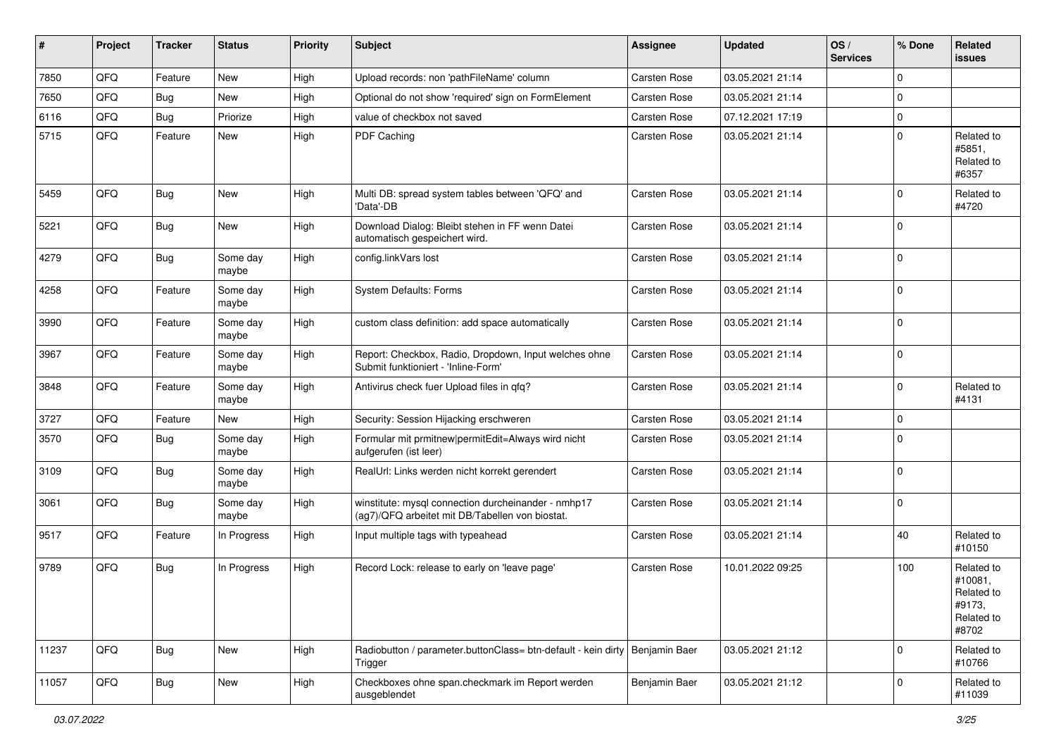| #     | Project | <b>Tracker</b> | <b>Status</b>     | <b>Priority</b> | <b>Subject</b>                                                                                         | <b>Assignee</b>     | <b>Updated</b>   | OS/<br><b>Services</b> | % Done      | <b>Related</b><br><b>issues</b>                                      |
|-------|---------|----------------|-------------------|-----------------|--------------------------------------------------------------------------------------------------------|---------------------|------------------|------------------------|-------------|----------------------------------------------------------------------|
| 7850  | QFQ     | Feature        | New               | High            | Upload records: non 'pathFileName' column                                                              | Carsten Rose        | 03.05.2021 21:14 |                        | 0           |                                                                      |
| 7650  | QFQ     | <b>Bug</b>     | New               | High            | Optional do not show 'required' sign on FormElement                                                    | Carsten Rose        | 03.05.2021 21:14 |                        | 0           |                                                                      |
| 6116  | QFQ     | <b>Bug</b>     | Priorize          | High            | value of checkbox not saved                                                                            | Carsten Rose        | 07.12.2021 17:19 |                        | 0           |                                                                      |
| 5715  | QFQ     | Feature        | New               | High            | PDF Caching                                                                                            | Carsten Rose        | 03.05.2021 21:14 |                        | 0           | Related to<br>#5851,<br>Related to<br>#6357                          |
| 5459  | QFQ     | <b>Bug</b>     | New               | High            | Multi DB: spread system tables between 'QFQ' and<br>'Data'-DB                                          | <b>Carsten Rose</b> | 03.05.2021 21:14 |                        | $\Omega$    | Related to<br>#4720                                                  |
| 5221  | QFQ     | <b>Bug</b>     | New               | High            | Download Dialog: Bleibt stehen in FF wenn Datei<br>automatisch gespeichert wird.                       | <b>Carsten Rose</b> | 03.05.2021 21:14 |                        | $\mathbf 0$ |                                                                      |
| 4279  | QFQ     | <b>Bug</b>     | Some day<br>maybe | High            | config.linkVars lost                                                                                   | <b>Carsten Rose</b> | 03.05.2021 21:14 |                        | 0           |                                                                      |
| 4258  | QFQ     | Feature        | Some day<br>maybe | High            | <b>System Defaults: Forms</b>                                                                          | <b>Carsten Rose</b> | 03.05.2021 21:14 |                        | 0           |                                                                      |
| 3990  | QFQ     | Feature        | Some day<br>maybe | High            | custom class definition: add space automatically                                                       | Carsten Rose        | 03.05.2021 21:14 |                        | 0           |                                                                      |
| 3967  | QFQ     | Feature        | Some day<br>maybe | High            | Report: Checkbox, Radio, Dropdown, Input welches ohne<br>Submit funktioniert - 'Inline-Form'           | Carsten Rose        | 03.05.2021 21:14 |                        | 0           |                                                                      |
| 3848  | QFQ     | Feature        | Some day<br>maybe | High            | Antivirus check fuer Upload files in qfq?                                                              | <b>Carsten Rose</b> | 03.05.2021 21:14 |                        | $\Omega$    | Related to<br>#4131                                                  |
| 3727  | QFQ     | Feature        | New               | High            | Security: Session Hijacking erschweren                                                                 | <b>Carsten Rose</b> | 03.05.2021 21:14 |                        | 0           |                                                                      |
| 3570  | QFQ     | Bug            | Some day<br>maybe | High            | Formular mit prmitnew   permitEdit=Always wird nicht<br>aufgerufen (ist leer)                          | <b>Carsten Rose</b> | 03.05.2021 21:14 |                        | 0           |                                                                      |
| 3109  | QFQ     | Bug            | Some day<br>maybe | High            | RealUrl: Links werden nicht korrekt gerendert                                                          | Carsten Rose        | 03.05.2021 21:14 |                        | 0           |                                                                      |
| 3061  | QFQ     | <b>Bug</b>     | Some day<br>maybe | High            | winstitute: mysql connection durcheinander - nmhp17<br>(ag7)/QFQ arbeitet mit DB/Tabellen von biostat. | <b>Carsten Rose</b> | 03.05.2021 21:14 |                        | 0           |                                                                      |
| 9517  | QFQ     | Feature        | In Progress       | High            | Input multiple tags with typeahead                                                                     | Carsten Rose        | 03.05.2021 21:14 |                        | 40          | Related to<br>#10150                                                 |
| 9789  | QFQ     | Bug            | In Progress       | High            | Record Lock: release to early on 'leave page'                                                          | <b>Carsten Rose</b> | 10.01.2022 09:25 |                        | 100         | Related to<br>#10081,<br>Related to<br>#9173,<br>Related to<br>#8702 |
| 11237 | QFQ     | Bug            | New               | High            | Radiobutton / parameter.buttonClass= btn-default - kein dirty   Benjamin Baer<br>Trigger               |                     | 03.05.2021 21:12 |                        | 0           | Related to<br>#10766                                                 |
| 11057 | QFQ     | i Bug          | New               | High            | Checkboxes ohne span.checkmark im Report werden<br>ausgeblendet                                        | Benjamin Baer       | 03.05.2021 21:12 |                        | 0           | Related to<br>#11039                                                 |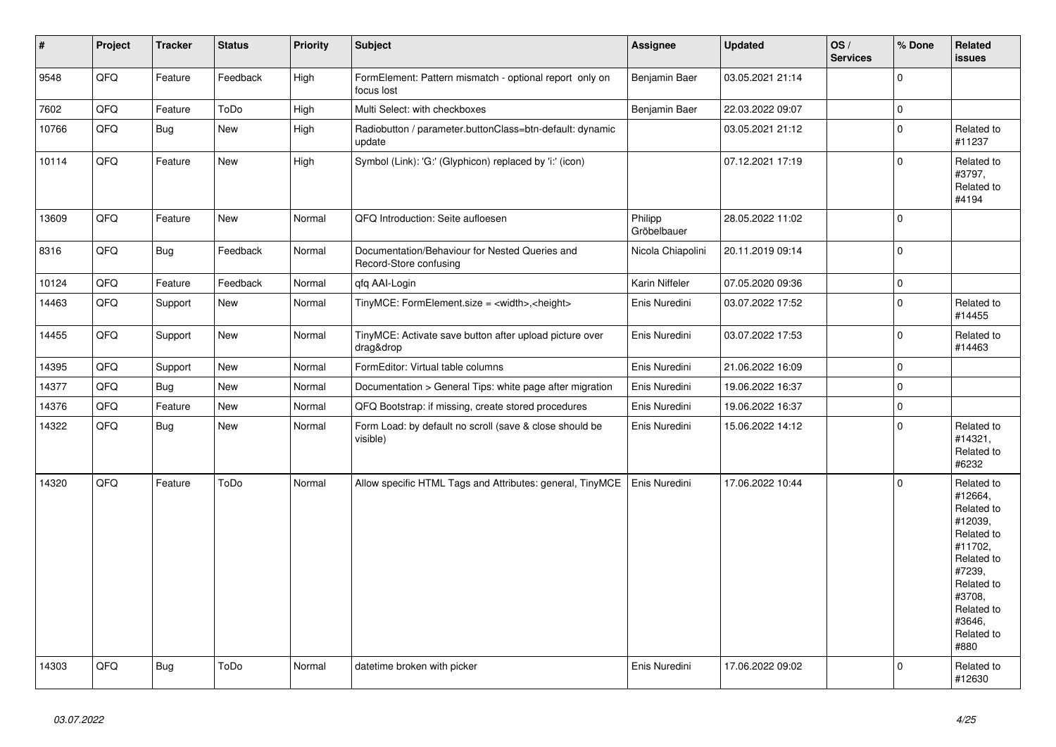| $\vert$ # | Project | <b>Tracker</b> | <b>Status</b> | <b>Priority</b> | <b>Subject</b>                                                           | <b>Assignee</b>        | <b>Updated</b>   | OS/<br><b>Services</b> | % Done      | Related<br>issues                                                                                                                                                     |
|-----------|---------|----------------|---------------|-----------------|--------------------------------------------------------------------------|------------------------|------------------|------------------------|-------------|-----------------------------------------------------------------------------------------------------------------------------------------------------------------------|
| 9548      | QFQ     | Feature        | Feedback      | High            | FormElement: Pattern mismatch - optional report only on<br>focus lost    | Benjamin Baer          | 03.05.2021 21:14 |                        | $\Omega$    |                                                                                                                                                                       |
| 7602      | QFQ     | Feature        | ToDo          | High            | Multi Select: with checkboxes                                            | Benjamin Baer          | 22.03.2022 09:07 |                        | $\pmb{0}$   |                                                                                                                                                                       |
| 10766     | QFQ     | <b>Bug</b>     | <b>New</b>    | High            | Radiobutton / parameter.buttonClass=btn-default: dynamic<br>update       |                        | 03.05.2021 21:12 |                        | $\Omega$    | Related to<br>#11237                                                                                                                                                  |
| 10114     | QFQ     | Feature        | New           | High            | Symbol (Link): 'G:' (Glyphicon) replaced by 'i:' (icon)                  |                        | 07.12.2021 17:19 |                        | $\mathbf 0$ | Related to<br>#3797,<br>Related to<br>#4194                                                                                                                           |
| 13609     | QFQ     | Feature        | <b>New</b>    | Normal          | QFQ Introduction: Seite aufloesen                                        | Philipp<br>Gröbelbauer | 28.05.2022 11:02 |                        | $\Omega$    |                                                                                                                                                                       |
| 8316      | QFQ     | <b>Bug</b>     | Feedback      | Normal          | Documentation/Behaviour for Nested Queries and<br>Record-Store confusing | Nicola Chiapolini      | 20.11.2019 09:14 |                        | $\mathbf 0$ |                                                                                                                                                                       |
| 10124     | QFQ     | Feature        | Feedback      | Normal          | qfq AAI-Login                                                            | Karin Niffeler         | 07.05.2020 09:36 |                        | 0           |                                                                                                                                                                       |
| 14463     | QFQ     | Support        | New           | Normal          | TinyMCE: FormElement.size = <width>,<height></height></width>            | Enis Nuredini          | 03.07.2022 17:52 |                        | $\mathbf 0$ | Related to<br>#14455                                                                                                                                                  |
| 14455     | QFQ     | Support        | New           | Normal          | TinyMCE: Activate save button after upload picture over<br>drag&drop     | Enis Nuredini          | 03.07.2022 17:53 |                        | $\mathbf 0$ | Related to<br>#14463                                                                                                                                                  |
| 14395     | QFQ     | Support        | New           | Normal          | FormEditor: Virtual table columns                                        | Enis Nuredini          | 21.06.2022 16:09 |                        | $\mathbf 0$ |                                                                                                                                                                       |
| 14377     | QFQ     | <b>Bug</b>     | New           | Normal          | Documentation > General Tips: white page after migration                 | Enis Nuredini          | 19.06.2022 16:37 |                        | $\mathbf 0$ |                                                                                                                                                                       |
| 14376     | QFQ     | Feature        | New           | Normal          | QFQ Bootstrap: if missing, create stored procedures                      | Enis Nuredini          | 19.06.2022 16:37 |                        | $\mathbf 0$ |                                                                                                                                                                       |
| 14322     | QFQ     | <b>Bug</b>     | New           | Normal          | Form Load: by default no scroll (save & close should be<br>visible)      | Enis Nuredini          | 15.06.2022 14:12 |                        | 0           | Related to<br>#14321,<br>Related to<br>#6232                                                                                                                          |
| 14320     | QFQ     | Feature        | ToDo          | Normal          | Allow specific HTML Tags and Attributes: general, TinyMCE                | Enis Nuredini          | 17.06.2022 10:44 |                        | 0           | Related to<br>#12664,<br>Related to<br>#12039.<br>Related to<br>#11702,<br>Related to<br>#7239.<br>Related to<br>#3708.<br>Related to<br>#3646.<br>Related to<br>#880 |
| 14303     | QFQ     | <b>Bug</b>     | ToDo          | Normal          | datetime broken with picker                                              | Enis Nuredini          | 17.06.2022 09:02 |                        | $\Omega$    | Related to<br>#12630                                                                                                                                                  |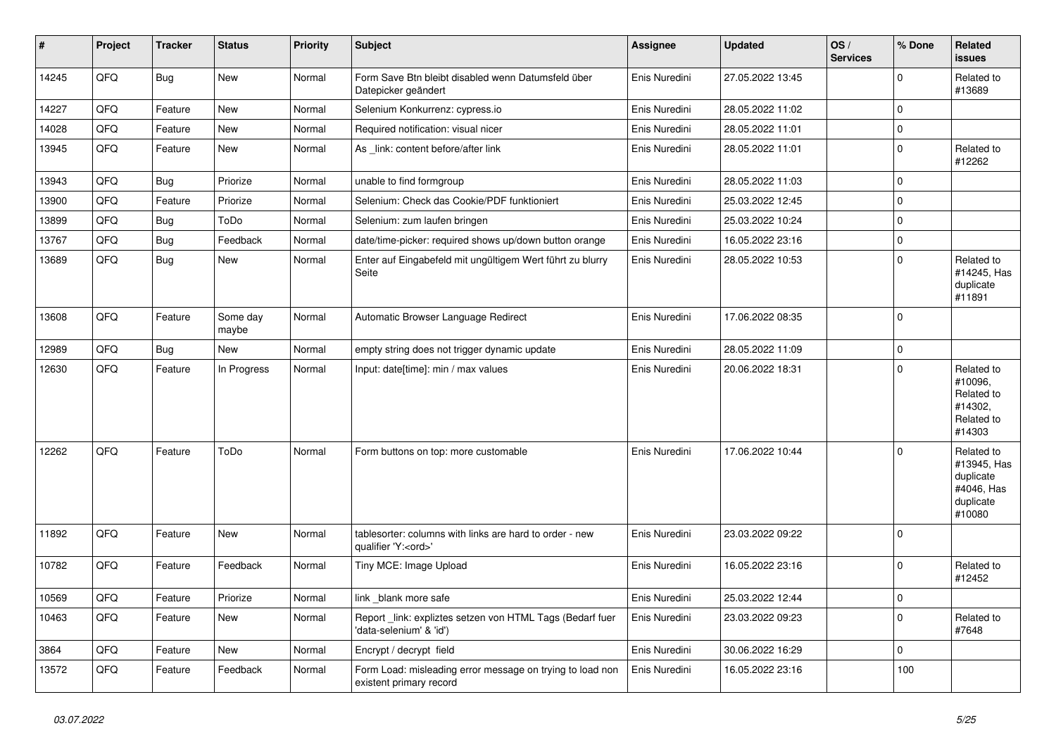| $\vert$ # | Project | <b>Tracker</b> | <b>Status</b>     | <b>Priority</b> | <b>Subject</b>                                                                        | Assignee      | <b>Updated</b>   | OS/<br><b>Services</b> | % Done       | <b>Related</b><br><b>issues</b>                                             |
|-----------|---------|----------------|-------------------|-----------------|---------------------------------------------------------------------------------------|---------------|------------------|------------------------|--------------|-----------------------------------------------------------------------------|
| 14245     | QFQ     | <b>Bug</b>     | New               | Normal          | Form Save Btn bleibt disabled wenn Datumsfeld über<br>Datepicker geändert             | Enis Nuredini | 27.05.2022 13:45 |                        | $\mathbf 0$  | Related to<br>#13689                                                        |
| 14227     | QFQ     | Feature        | <b>New</b>        | Normal          | Selenium Konkurrenz: cypress.io                                                       | Enis Nuredini | 28.05.2022 11:02 |                        | 0            |                                                                             |
| 14028     | QFQ     | Feature        | <b>New</b>        | Normal          | Required notification: visual nicer                                                   | Enis Nuredini | 28.05.2022 11:01 |                        | $\Omega$     |                                                                             |
| 13945     | QFQ     | Feature        | New               | Normal          | As _link: content before/after link                                                   | Enis Nuredini | 28.05.2022 11:01 |                        | $\Omega$     | Related to<br>#12262                                                        |
| 13943     | QFQ     | Bug            | Priorize          | Normal          | unable to find formgroup                                                              | Enis Nuredini | 28.05.2022 11:03 |                        | $\mathbf 0$  |                                                                             |
| 13900     | QFQ     | Feature        | Priorize          | Normal          | Selenium: Check das Cookie/PDF funktioniert                                           | Enis Nuredini | 25.03.2022 12:45 |                        | $\mathbf 0$  |                                                                             |
| 13899     | QFQ     | <b>Bug</b>     | ToDo              | Normal          | Selenium: zum laufen bringen                                                          | Enis Nuredini | 25.03.2022 10:24 |                        | $\Omega$     |                                                                             |
| 13767     | QFQ     | <b>Bug</b>     | Feedback          | Normal          | date/time-picker: required shows up/down button orange                                | Enis Nuredini | 16.05.2022 23:16 |                        | $\mathbf 0$  |                                                                             |
| 13689     | QFQ     | <b>Bug</b>     | New               | Normal          | Enter auf Eingabefeld mit ungültigem Wert führt zu blurry<br>Seite                    | Enis Nuredini | 28.05.2022 10:53 |                        | $\mathbf 0$  | Related to<br>#14245, Has<br>duplicate<br>#11891                            |
| 13608     | QFQ     | Feature        | Some day<br>maybe | Normal          | Automatic Browser Language Redirect                                                   | Enis Nuredini | 17.06.2022 08:35 |                        | $\Omega$     |                                                                             |
| 12989     | QFQ     | <b>Bug</b>     | <b>New</b>        | Normal          | empty string does not trigger dynamic update                                          | Enis Nuredini | 28.05.2022 11:09 |                        | $\mathbf 0$  |                                                                             |
| 12630     | QFQ     | Feature        | In Progress       | Normal          | Input: date[time]: min / max values                                                   | Enis Nuredini | 20.06.2022 18:31 |                        | $\Omega$     | Related to<br>#10096,<br>Related to<br>#14302,<br>Related to<br>#14303      |
| 12262     | QFQ     | Feature        | ToDo              | Normal          | Form buttons on top: more customable                                                  | Enis Nuredini | 17.06.2022 10:44 |                        | $\Omega$     | Related to<br>#13945, Has<br>duplicate<br>#4046, Has<br>duplicate<br>#10080 |
| 11892     | QFQ     | Feature        | <b>New</b>        | Normal          | tablesorter: columns with links are hard to order - new<br>qualifier 'Y: <ord>'</ord> | Enis Nuredini | 23.03.2022 09:22 |                        | $\mathbf{0}$ |                                                                             |
| 10782     | QFQ     | Feature        | Feedback          | Normal          | Tiny MCE: Image Upload                                                                | Enis Nuredini | 16.05.2022 23:16 |                        | $\mathbf 0$  | Related to<br>#12452                                                        |
| 10569     | QFQ     | Feature        | Priorize          | Normal          | link _blank more safe                                                                 | Enis Nuredini | 25.03.2022 12:44 |                        | 0            |                                                                             |
| 10463     | QFQ     | Feature        | <b>New</b>        | Normal          | Report _link: expliztes setzen von HTML Tags (Bedarf fuer<br>'data-selenium' & 'id')  | Enis Nuredini | 23.03.2022 09:23 |                        | 0            | Related to<br>#7648                                                         |
| 3864      | QFQ     | Feature        | New               | Normal          | Encrypt / decrypt field                                                               | Enis Nuredini | 30.06.2022 16:29 |                        | 0            |                                                                             |
| 13572     | QFQ     | Feature        | Feedback          | Normal          | Form Load: misleading error message on trying to load non<br>existent primary record  | Enis Nuredini | 16.05.2022 23:16 |                        | 100          |                                                                             |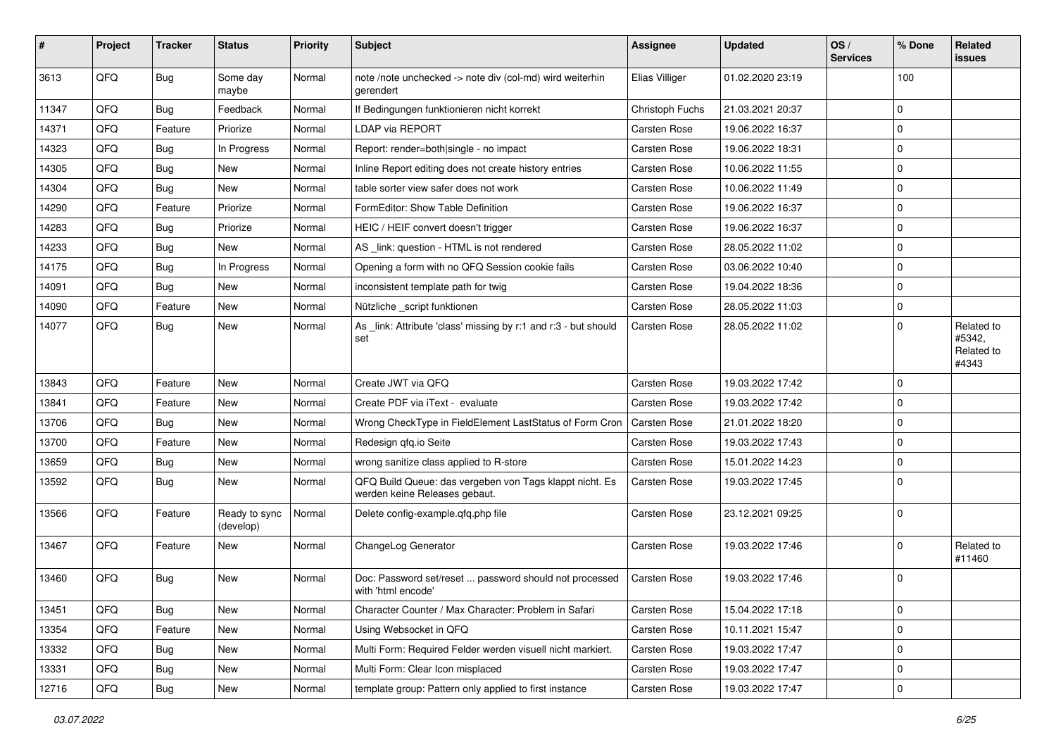| #     | Project | <b>Tracker</b> | <b>Status</b>              | <b>Priority</b> | Subject                                                                                  | <b>Assignee</b>     | <b>Updated</b>   | OS/<br><b>Services</b> | % Done      | Related<br>issues                           |
|-------|---------|----------------|----------------------------|-----------------|------------------------------------------------------------------------------------------|---------------------|------------------|------------------------|-------------|---------------------------------------------|
| 3613  | QFQ     | <b>Bug</b>     | Some day<br>maybe          | Normal          | note /note unchecked -> note div (col-md) wird weiterhin<br>gerendert                    | Elias Villiger      | 01.02.2020 23:19 |                        | 100         |                                             |
| 11347 | QFQ     | <b>Bug</b>     | Feedback                   | Normal          | If Bedingungen funktionieren nicht korrekt                                               | Christoph Fuchs     | 21.03.2021 20:37 |                        | $\Omega$    |                                             |
| 14371 | QFQ     | Feature        | Priorize                   | Normal          | <b>LDAP via REPORT</b>                                                                   | Carsten Rose        | 19.06.2022 16:37 |                        | $\Omega$    |                                             |
| 14323 | QFQ     | <b>Bug</b>     | In Progress                | Normal          | Report: render=both single - no impact                                                   | Carsten Rose        | 19.06.2022 18:31 |                        | $\Omega$    |                                             |
| 14305 | QFQ     | <b>Bug</b>     | New                        | Normal          | Inline Report editing does not create history entries                                    | Carsten Rose        | 10.06.2022 11:55 |                        | $\Omega$    |                                             |
| 14304 | QFQ     | <b>Bug</b>     | New                        | Normal          | table sorter view safer does not work                                                    | Carsten Rose        | 10.06.2022 11:49 |                        | $\mathbf 0$ |                                             |
| 14290 | QFQ     | Feature        | Priorize                   | Normal          | FormEditor: Show Table Definition                                                        | Carsten Rose        | 19.06.2022 16:37 |                        | $\Omega$    |                                             |
| 14283 | QFQ     | <b>Bug</b>     | Priorize                   | Normal          | HEIC / HEIF convert doesn't trigger                                                      | Carsten Rose        | 19.06.2022 16:37 |                        | $\Omega$    |                                             |
| 14233 | QFQ     | <b>Bug</b>     | <b>New</b>                 | Normal          | AS _link: question - HTML is not rendered                                                | Carsten Rose        | 28.05.2022 11:02 |                        | $\Omega$    |                                             |
| 14175 | QFQ     | <b>Bug</b>     | In Progress                | Normal          | Opening a form with no QFQ Session cookie fails                                          | Carsten Rose        | 03.06.2022 10:40 |                        | $\Omega$    |                                             |
| 14091 | QFQ     | <b>Bug</b>     | New                        | Normal          | inconsistent template path for twig                                                      | Carsten Rose        | 19.04.2022 18:36 |                        | $\Omega$    |                                             |
| 14090 | QFQ     | Feature        | New                        | Normal          | Nützliche _script funktionen                                                             | Carsten Rose        | 28.05.2022 11:03 |                        | $\Omega$    |                                             |
| 14077 | QFQ     | <b>Bug</b>     | New                        | Normal          | As link: Attribute 'class' missing by r:1 and r:3 - but should<br>set                    | Carsten Rose        | 28.05.2022 11:02 |                        | $\Omega$    | Related to<br>#5342.<br>Related to<br>#4343 |
| 13843 | QFQ     | Feature        | New                        | Normal          | Create JWT via OFO                                                                       | Carsten Rose        | 19.03.2022 17:42 |                        | $\Omega$    |                                             |
| 13841 | QFQ     | Feature        | New                        | Normal          | Create PDF via iText - evaluate                                                          | Carsten Rose        | 19.03.2022 17:42 |                        | $\Omega$    |                                             |
| 13706 | QFQ     | <b>Bug</b>     | New                        | Normal          | Wrong CheckType in FieldElement LastStatus of Form Cron                                  | <b>Carsten Rose</b> | 21.01.2022 18:20 |                        | $\Omega$    |                                             |
| 13700 | QFQ     | Feature        | New                        | Normal          | Redesign gfg.io Seite                                                                    | Carsten Rose        | 19.03.2022 17:43 |                        | $\Omega$    |                                             |
| 13659 | QFQ     | <b>Bug</b>     | <b>New</b>                 | Normal          | wrong sanitize class applied to R-store                                                  | Carsten Rose        | 15.01.2022 14:23 |                        | $\Omega$    |                                             |
| 13592 | QFQ     | Bug            | New                        | Normal          | QFQ Build Queue: das vergeben von Tags klappt nicht. Es<br>werden keine Releases gebaut. | Carsten Rose        | 19.03.2022 17:45 |                        | $\Omega$    |                                             |
| 13566 | QFQ     | Feature        | Ready to sync<br>(develop) | Normal          | Delete config-example.qfq.php file                                                       | Carsten Rose        | 23.12.2021 09:25 |                        | $\Omega$    |                                             |
| 13467 | QFQ     | Feature        | New                        | Normal          | ChangeLog Generator                                                                      | Carsten Rose        | 19.03.2022 17:46 |                        | $\mathbf 0$ | Related to<br>#11460                        |
| 13460 | QFQ     | <b>Bug</b>     | New                        | Normal          | Doc: Password set/reset  password should not processed<br>with 'html encode'             | Carsten Rose        | 19.03.2022 17:46 |                        | $\Omega$    |                                             |
| 13451 | QFQ     | Bug            | New                        | Normal          | Character Counter / Max Character: Problem in Safari                                     | Carsten Rose        | 15.04.2022 17:18 |                        | 0           |                                             |
| 13354 | QFQ     | Feature        | New                        | Normal          | Using Websocket in QFQ                                                                   | Carsten Rose        | 10.11.2021 15:47 |                        | 0           |                                             |
| 13332 | QFQ     | <b>Bug</b>     | New                        | Normal          | Multi Form: Required Felder werden visuell nicht markiert.                               | Carsten Rose        | 19.03.2022 17:47 |                        | 0           |                                             |
| 13331 | QFQ     | <b>Bug</b>     | New                        | Normal          | Multi Form: Clear Icon misplaced                                                         | Carsten Rose        | 19.03.2022 17:47 |                        | 0           |                                             |
| 12716 | QFQ     | Bug            | New                        | Normal          | template group: Pattern only applied to first instance                                   | Carsten Rose        | 19.03.2022 17:47 |                        | 0           |                                             |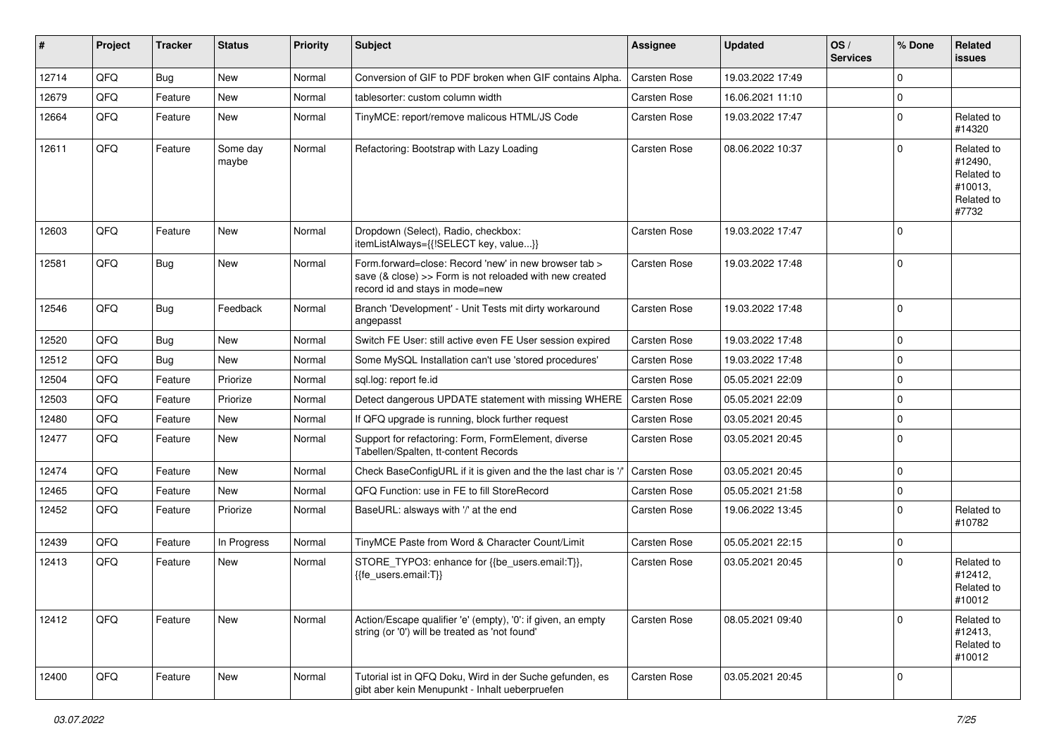| #     | Project | <b>Tracker</b> | <b>Status</b>     | <b>Priority</b> | <b>Subject</b>                                                                                                                                      | <b>Assignee</b>     | <b>Updated</b>   | OS/<br><b>Services</b> | % Done      | <b>Related</b><br>issues                                              |
|-------|---------|----------------|-------------------|-----------------|-----------------------------------------------------------------------------------------------------------------------------------------------------|---------------------|------------------|------------------------|-------------|-----------------------------------------------------------------------|
| 12714 | QFQ     | <b>Bug</b>     | <b>New</b>        | Normal          | Conversion of GIF to PDF broken when GIF contains Alpha.                                                                                            | <b>Carsten Rose</b> | 19.03.2022 17:49 |                        | 0           |                                                                       |
| 12679 | QFQ     | Feature        | New               | Normal          | tablesorter: custom column width                                                                                                                    | Carsten Rose        | 16.06.2021 11:10 |                        | 0           |                                                                       |
| 12664 | QFQ     | Feature        | New               | Normal          | TinyMCE: report/remove malicous HTML/JS Code                                                                                                        | Carsten Rose        | 19.03.2022 17:47 |                        | $\Omega$    | Related to<br>#14320                                                  |
| 12611 | QFQ     | Feature        | Some day<br>maybe | Normal          | Refactoring: Bootstrap with Lazy Loading                                                                                                            | Carsten Rose        | 08.06.2022 10:37 |                        | 0           | Related to<br>#12490,<br>Related to<br>#10013,<br>Related to<br>#7732 |
| 12603 | QFQ     | Feature        | <b>New</b>        | Normal          | Dropdown (Select), Radio, checkbox:<br>itemListAlways={{!SELECT key, value}}                                                                        | <b>Carsten Rose</b> | 19.03.2022 17:47 |                        | 0           |                                                                       |
| 12581 | QFQ     | <b>Bug</b>     | New               | Normal          | Form.forward=close: Record 'new' in new browser tab ><br>save (& close) >> Form is not reloaded with new created<br>record id and stays in mode=new | <b>Carsten Rose</b> | 19.03.2022 17:48 |                        | $\mathbf 0$ |                                                                       |
| 12546 | QFQ     | <b>Bug</b>     | Feedback          | Normal          | Branch 'Development' - Unit Tests mit dirty workaround<br>angepasst                                                                                 | Carsten Rose        | 19.03.2022 17:48 |                        | 0           |                                                                       |
| 12520 | QFQ     | <b>Bug</b>     | New               | Normal          | Switch FE User: still active even FE User session expired                                                                                           | Carsten Rose        | 19.03.2022 17:48 |                        | 0           |                                                                       |
| 12512 | QFQ     | <b>Bug</b>     | New               | Normal          | Some MySQL Installation can't use 'stored procedures'                                                                                               | Carsten Rose        | 19.03.2022 17:48 |                        | 0           |                                                                       |
| 12504 | QFQ     | Feature        | Priorize          | Normal          | sgl.log: report fe.id                                                                                                                               | Carsten Rose        | 05.05.2021 22:09 |                        | 0           |                                                                       |
| 12503 | QFQ     | Feature        | Priorize          | Normal          | Detect dangerous UPDATE statement with missing WHERE                                                                                                | <b>Carsten Rose</b> | 05.05.2021 22:09 |                        | 0           |                                                                       |
| 12480 | QFQ     | Feature        | New               | Normal          | If QFQ upgrade is running, block further request                                                                                                    | Carsten Rose        | 03.05.2021 20:45 |                        | 0           |                                                                       |
| 12477 | QFQ     | Feature        | New               | Normal          | Support for refactoring: Form, FormElement, diverse<br>Tabellen/Spalten, tt-content Records                                                         | Carsten Rose        | 03.05.2021 20:45 |                        | $\Omega$    |                                                                       |
| 12474 | QFQ     | Feature        | New               | Normal          | Check BaseConfigURL if it is given and the the last char is '/                                                                                      | <b>Carsten Rose</b> | 03.05.2021 20:45 |                        | $\mathbf 0$ |                                                                       |
| 12465 | QFQ     | Feature        | New               | Normal          | QFQ Function: use in FE to fill StoreRecord                                                                                                         | Carsten Rose        | 05.05.2021 21:58 |                        | 0           |                                                                       |
| 12452 | QFQ     | Feature        | Priorize          | Normal          | BaseURL: alsways with '/' at the end                                                                                                                | Carsten Rose        | 19.06.2022 13:45 |                        | $\mathbf 0$ | Related to<br>#10782                                                  |
| 12439 | QFQ     | Feature        | In Progress       | Normal          | TinyMCE Paste from Word & Character Count/Limit                                                                                                     | Carsten Rose        | 05.05.2021 22:15 |                        | $\mathbf 0$ |                                                                       |
| 12413 | QFQ     | Feature        | New               | Normal          | STORE_TYPO3: enhance for {{be_users.email:T}},<br>{{fe users.email:T}}                                                                              | <b>Carsten Rose</b> | 03.05.2021 20:45 |                        | 0           | Related to<br>#12412,<br>Related to<br>#10012                         |
| 12412 | QFQ     | Feature        | New               | Normal          | Action/Escape qualifier 'e' (empty), '0': if given, an empty<br>string (or '0') will be treated as 'not found'                                      | Carsten Rose        | 08.05.2021 09:40 |                        | 0           | Related to<br>#12413,<br>Related to<br>#10012                         |
| 12400 | QFQ     | Feature        | New               | Normal          | Tutorial ist in QFQ Doku, Wird in der Suche gefunden, es<br>gibt aber kein Menupunkt - Inhalt ueberpruefen                                          | Carsten Rose        | 03.05.2021 20:45 |                        | $\mathbf 0$ |                                                                       |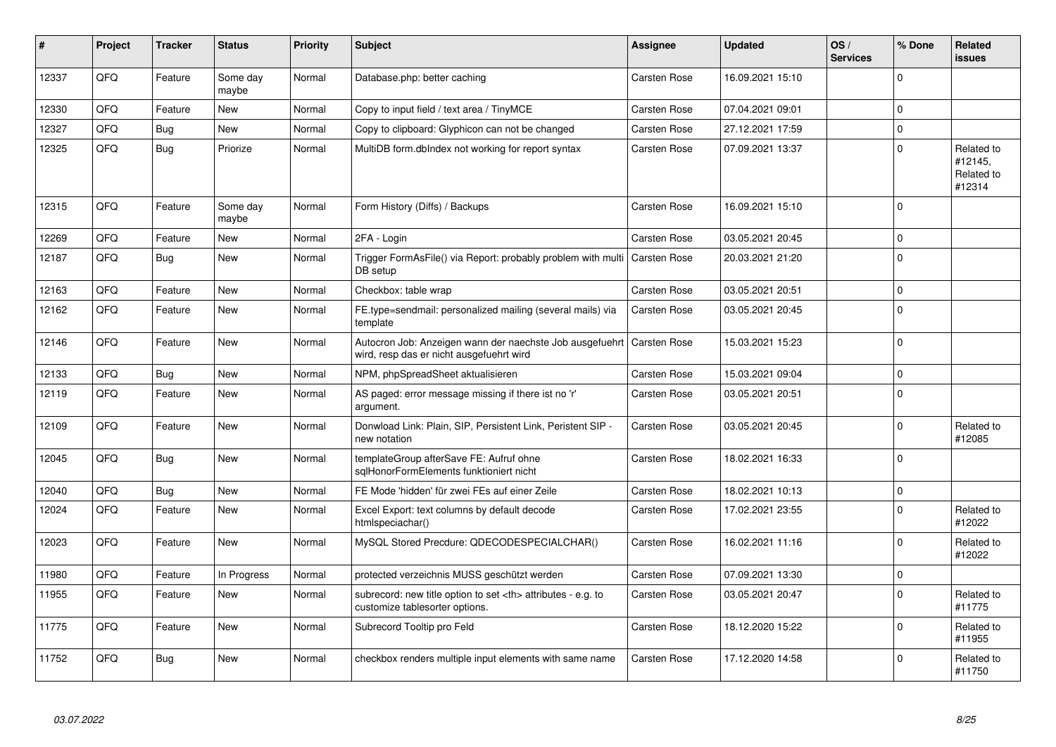| #     | Project | <b>Tracker</b> | <b>Status</b>     | <b>Priority</b> | <b>Subject</b>                                                                                                      | <b>Assignee</b>                                        | <b>Updated</b>      | OS/<br><b>Services</b> | % Done              | <b>Related</b><br><b>issues</b>               |                      |
|-------|---------|----------------|-------------------|-----------------|---------------------------------------------------------------------------------------------------------------------|--------------------------------------------------------|---------------------|------------------------|---------------------|-----------------------------------------------|----------------------|
| 12337 | QFQ     | Feature        | Some day<br>maybe | Normal          | Database.php: better caching                                                                                        | <b>Carsten Rose</b>                                    | 16.09.2021 15:10    |                        | $\Omega$            |                                               |                      |
| 12330 | QFQ     | Feature        | <b>New</b>        | Normal          | Copy to input field / text area / TinyMCE                                                                           | <b>Carsten Rose</b>                                    | 07.04.2021 09:01    |                        | $\mathbf{0}$        |                                               |                      |
| 12327 | QFQ     | Bug            | New               | Normal          | Copy to clipboard: Glyphicon can not be changed                                                                     | <b>Carsten Rose</b>                                    | 27.12.2021 17:59    |                        | $\mathbf 0$         |                                               |                      |
| 12325 | QFQ     | Bug            | Priorize          | Normal          | MultiDB form.dblndex not working for report syntax                                                                  | Carsten Rose                                           | 07.09.2021 13:37    |                        | $\mathbf 0$         | Related to<br>#12145,<br>Related to<br>#12314 |                      |
| 12315 | QFQ     | Feature        | Some day<br>maybe | Normal          | Form History (Diffs) / Backups                                                                                      | <b>Carsten Rose</b>                                    | 16.09.2021 15:10    |                        | $\mathbf 0$         |                                               |                      |
| 12269 | QFQ     | Feature        | <b>New</b>        | Normal          | 2FA - Login                                                                                                         | <b>Carsten Rose</b>                                    | 03.05.2021 20:45    |                        | $\mathbf 0$         |                                               |                      |
| 12187 | QFQ     | Bug            | <b>New</b>        | Normal          | Trigger FormAsFile() via Report: probably problem with multi<br>DB setup                                            | Carsten Rose                                           | 20.03.2021 21:20    |                        | $\Omega$            |                                               |                      |
| 12163 | QFQ     | Feature        | <b>New</b>        | Normal          | Checkbox: table wrap                                                                                                | <b>Carsten Rose</b>                                    | 03.05.2021 20:51    |                        | $\mathbf 0$         |                                               |                      |
| 12162 | QFQ     | Feature        | New               | Normal          | FE.type=sendmail: personalized mailing (several mails) via<br>template                                              | Carsten Rose                                           | 03.05.2021 20:45    |                        | $\mathbf{0}$        |                                               |                      |
| 12146 | QFQ     | Feature        | New               | Normal          | Autocron Job: Anzeigen wann der naechste Job ausgefuehrt   Carsten Rose<br>wird, resp das er nicht ausgefuehrt wird |                                                        | 15.03.2021 15:23    |                        | 0                   |                                               |                      |
| 12133 | QFQ     | <b>Bug</b>     | New               | Normal          | NPM, phpSpreadSheet aktualisieren                                                                                   | Carsten Rose                                           | 15.03.2021 09:04    |                        | $\mathsf{O}\xspace$ |                                               |                      |
| 12119 | QFQ     | Feature        | New               | Normal          | AS paged: error message missing if there ist no 'r'<br>argument.                                                    | <b>Carsten Rose</b>                                    | 03.05.2021 20:51    |                        | $\mathbf 0$         |                                               |                      |
| 12109 | QFQ     | Feature        | New               | Normal          | Donwload Link: Plain, SIP, Persistent Link, Peristent SIP -<br>new notation                                         | Carsten Rose                                           | 03.05.2021 20:45    |                        | $\mathbf 0$         | Related to<br>#12085                          |                      |
| 12045 | QFQ     | Bug            | New               | Normal          | templateGroup afterSave FE: Aufruf ohne<br>sglHonorFormElements funktioniert nicht                                  | Carsten Rose                                           | 18.02.2021 16:33    |                        | $\mathbf 0$         |                                               |                      |
| 12040 | QFQ     | <b>Bug</b>     | <b>New</b>        | Normal          | FE Mode 'hidden' für zwei FEs auf einer Zeile                                                                       | Carsten Rose                                           | 18.02.2021 10:13    |                        | $\pmb{0}$           |                                               |                      |
| 12024 | QFQ     | Feature        | New               | Normal          | Excel Export: text columns by default decode<br>htmlspeciachar()                                                    | <b>Carsten Rose</b>                                    | 17.02.2021 23:55    |                        | 0                   | Related to<br>#12022                          |                      |
| 12023 | QFQ     | Feature        | New               | Normal          | MySQL Stored Precdure: QDECODESPECIALCHAR()                                                                         | <b>Carsten Rose</b>                                    | 16.02.2021 11:16    |                        | $\mathbf 0$         | Related to<br>#12022                          |                      |
| 11980 | QFQ     | Feature        | In Progress       | Normal          | protected verzeichnis MUSS geschützt werden                                                                         | Carsten Rose                                           | 07.09.2021 13:30    |                        | 0                   |                                               |                      |
| 11955 | QFQ     | Feature        | New               | Normal          | subrecord: new title option to set <th> attributes - e.g. to<br/>customize tablesorter options.</th>                | attributes - e.g. to<br>customize tablesorter options. | <b>Carsten Rose</b> | 03.05.2021 20:47       |                     | $\Omega$                                      | Related to<br>#11775 |
| 11775 | QFQ     | Feature        | New               | Normal          | Subrecord Tooltip pro Feld                                                                                          | <b>Carsten Rose</b>                                    | 18.12.2020 15:22    |                        | $\mathbf 0$         | Related to<br>#11955                          |                      |
| 11752 | QFQ     | Bug            | <b>New</b>        | Normal          | checkbox renders multiple input elements with same name                                                             | <b>Carsten Rose</b>                                    | 17.12.2020 14:58    |                        | $\Omega$            | Related to<br>#11750                          |                      |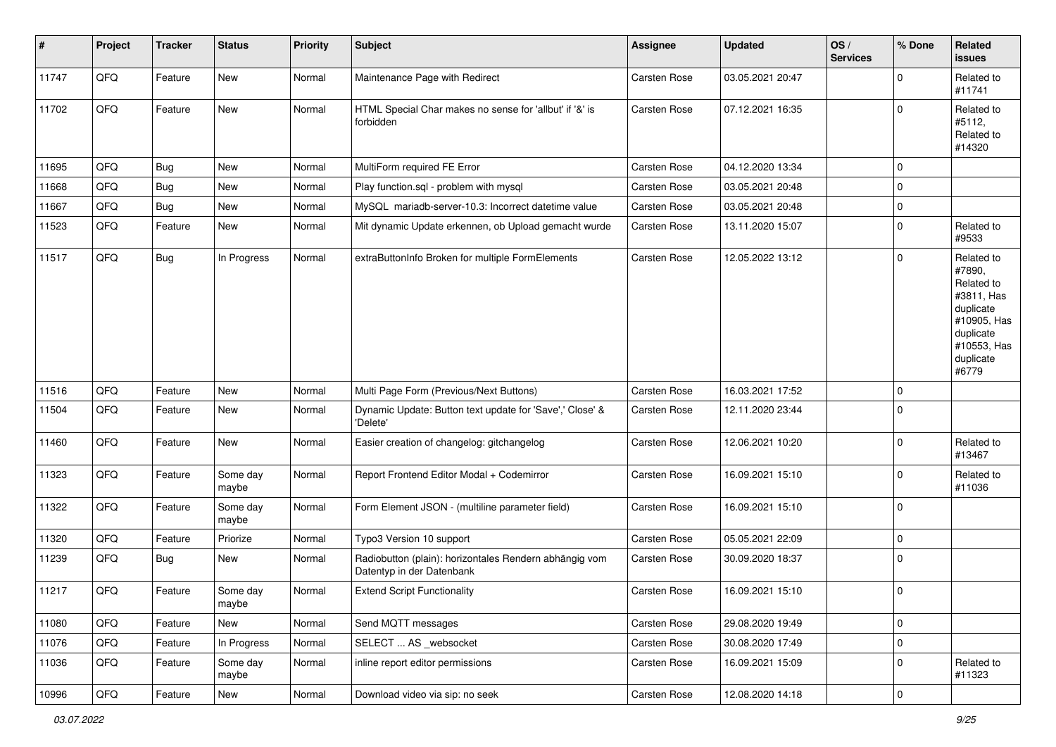| $\sharp$ | Project | <b>Tracker</b> | <b>Status</b>     | <b>Priority</b> | <b>Subject</b>                                                                      | <b>Assignee</b>     | <b>Updated</b>   | OS/<br><b>Services</b> | % Done      | Related<br>issues                                                                                                              |
|----------|---------|----------------|-------------------|-----------------|-------------------------------------------------------------------------------------|---------------------|------------------|------------------------|-------------|--------------------------------------------------------------------------------------------------------------------------------|
| 11747    | QFQ     | Feature        | New               | Normal          | Maintenance Page with Redirect                                                      | <b>Carsten Rose</b> | 03.05.2021 20:47 |                        | 0           | Related to<br>#11741                                                                                                           |
| 11702    | QFQ     | Feature        | New               | Normal          | HTML Special Char makes no sense for 'allbut' if '&' is<br>forbidden                | <b>Carsten Rose</b> | 07.12.2021 16:35 |                        | 0           | Related to<br>#5112,<br>Related to<br>#14320                                                                                   |
| 11695    | QFQ     | <b>Bug</b>     | <b>New</b>        | Normal          | MultiForm required FE Error                                                         | <b>Carsten Rose</b> | 04.12.2020 13:34 |                        | 0           |                                                                                                                                |
| 11668    | QFQ     | <b>Bug</b>     | New               | Normal          | Play function.sql - problem with mysql                                              | Carsten Rose        | 03.05.2021 20:48 |                        | 0           |                                                                                                                                |
| 11667    | QFQ     | <b>Bug</b>     | New               | Normal          | MySQL mariadb-server-10.3: Incorrect datetime value                                 | Carsten Rose        | 03.05.2021 20:48 |                        | 0           |                                                                                                                                |
| 11523    | QFQ     | Feature        | New               | Normal          | Mit dynamic Update erkennen, ob Upload gemacht wurde                                | Carsten Rose        | 13.11.2020 15:07 |                        | 0           | Related to<br>#9533                                                                                                            |
| 11517    | QFQ     | Bug            | In Progress       | Normal          | extraButtonInfo Broken for multiple FormElements                                    | <b>Carsten Rose</b> | 12.05.2022 13:12 |                        | 0           | Related to<br>#7890,<br>Related to<br>#3811, Has<br>duplicate<br>#10905, Has<br>duplicate<br>#10553, Has<br>duplicate<br>#6779 |
| 11516    | QFQ     | Feature        | New               | Normal          | Multi Page Form (Previous/Next Buttons)                                             | <b>Carsten Rose</b> | 16.03.2021 17:52 |                        | 0           |                                                                                                                                |
| 11504    | QFQ     | Feature        | New               | Normal          | Dynamic Update: Button text update for 'Save',' Close' &<br>'Delete'                | Carsten Rose        | 12.11.2020 23:44 |                        | 0           |                                                                                                                                |
| 11460    | QFQ     | Feature        | New               | Normal          | Easier creation of changelog: gitchangelog                                          | Carsten Rose        | 12.06.2021 10:20 |                        | $\mathbf 0$ | Related to<br>#13467                                                                                                           |
| 11323    | QFQ     | Feature        | Some day<br>maybe | Normal          | Report Frontend Editor Modal + Codemirror                                           | Carsten Rose        | 16.09.2021 15:10 |                        | $\mathbf 0$ | Related to<br>#11036                                                                                                           |
| 11322    | QFQ     | Feature        | Some day<br>maybe | Normal          | Form Element JSON - (multiline parameter field)                                     | Carsten Rose        | 16.09.2021 15:10 |                        | 0           |                                                                                                                                |
| 11320    | QFQ     | Feature        | Priorize          | Normal          | Typo3 Version 10 support                                                            | Carsten Rose        | 05.05.2021 22:09 |                        | 0           |                                                                                                                                |
| 11239    | QFQ     | <b>Bug</b>     | New               | Normal          | Radiobutton (plain): horizontales Rendern abhängig vom<br>Datentyp in der Datenbank | Carsten Rose        | 30.09.2020 18:37 |                        | 0           |                                                                                                                                |
| 11217    | QFQ     | Feature        | Some day<br>maybe | Normal          | <b>Extend Script Functionality</b>                                                  | <b>Carsten Rose</b> | 16.09.2021 15:10 |                        | $\mathbf 0$ |                                                                                                                                |
| 11080    | QFQ     | Feature        | New               | Normal          | Send MQTT messages                                                                  | Carsten Rose        | 29.08.2020 19:49 |                        | 0           |                                                                                                                                |
| 11076    | QFQ     | Feature        | In Progress       | Normal          | SELECT  AS _websocket                                                               | Carsten Rose        | 30.08.2020 17:49 |                        | 0           |                                                                                                                                |
| 11036    | QFQ     | Feature        | Some day<br>maybe | Normal          | inline report editor permissions                                                    | Carsten Rose        | 16.09.2021 15:09 |                        | 0           | Related to<br>#11323                                                                                                           |
| 10996    | QFG     | Feature        | New               | Normal          | Download video via sip: no seek                                                     | Carsten Rose        | 12.08.2020 14:18 |                        | 0           |                                                                                                                                |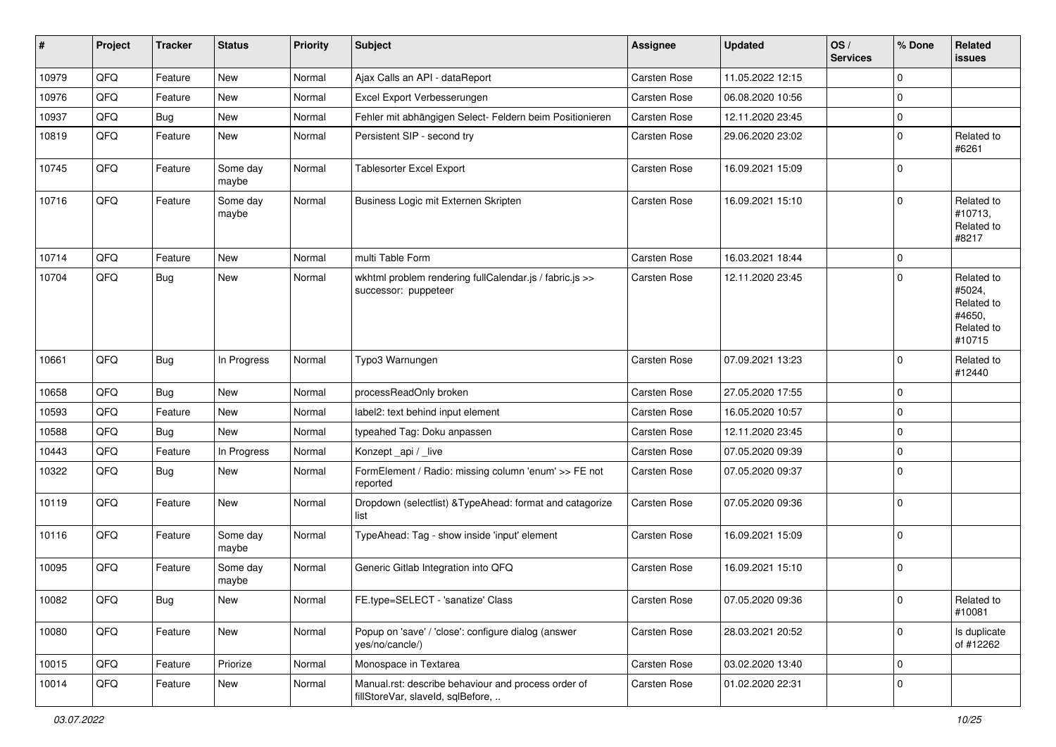| #     | Project | <b>Tracker</b> | <b>Status</b>     | <b>Priority</b> | <b>Subject</b>                                                                           | <b>Assignee</b>     | <b>Updated</b>   | OS/<br><b>Services</b> | % Done      | Related<br><b>issues</b>                                             |
|-------|---------|----------------|-------------------|-----------------|------------------------------------------------------------------------------------------|---------------------|------------------|------------------------|-------------|----------------------------------------------------------------------|
| 10979 | QFQ     | Feature        | New               | Normal          | Ajax Calls an API - dataReport                                                           | Carsten Rose        | 11.05.2022 12:15 |                        | 0           |                                                                      |
| 10976 | QFQ     | Feature        | New               | Normal          | Excel Export Verbesserungen                                                              | Carsten Rose        | 06.08.2020 10:56 |                        | 0           |                                                                      |
| 10937 | QFQ     | Bug            | <b>New</b>        | Normal          | Fehler mit abhängigen Select- Feldern beim Positionieren                                 | Carsten Rose        | 12.11.2020 23:45 |                        | $\mathbf 0$ |                                                                      |
| 10819 | QFQ     | Feature        | New               | Normal          | Persistent SIP - second try                                                              | Carsten Rose        | 29.06.2020 23:02 |                        | 0           | Related to<br>#6261                                                  |
| 10745 | QFQ     | Feature        | Some day<br>maybe | Normal          | <b>Tablesorter Excel Export</b>                                                          | <b>Carsten Rose</b> | 16.09.2021 15:09 |                        | 0           |                                                                      |
| 10716 | QFQ     | Feature        | Some day<br>maybe | Normal          | Business Logic mit Externen Skripten                                                     | <b>Carsten Rose</b> | 16.09.2021 15:10 |                        | 0           | Related to<br>#10713,<br>Related to<br>#8217                         |
| 10714 | QFQ     | Feature        | <b>New</b>        | Normal          | multi Table Form                                                                         | Carsten Rose        | 16.03.2021 18:44 |                        | 0           |                                                                      |
| 10704 | QFQ     | <b>Bug</b>     | New               | Normal          | wkhtml problem rendering fullCalendar.js / fabric.js >><br>successor: puppeteer          | Carsten Rose        | 12.11.2020 23:45 |                        | 0           | Related to<br>#5024,<br>Related to<br>#4650,<br>Related to<br>#10715 |
| 10661 | QFQ     | <b>Bug</b>     | In Progress       | Normal          | Typo3 Warnungen                                                                          | <b>Carsten Rose</b> | 07.09.2021 13:23 |                        | 0           | Related to<br>#12440                                                 |
| 10658 | QFQ     | <b>Bug</b>     | New               | Normal          | processReadOnly broken                                                                   | <b>Carsten Rose</b> | 27.05.2020 17:55 |                        | 0           |                                                                      |
| 10593 | QFQ     | Feature        | New               | Normal          | label2: text behind input element                                                        | <b>Carsten Rose</b> | 16.05.2020 10:57 |                        | 0           |                                                                      |
| 10588 | QFQ     | Bug            | New               | Normal          | typeahed Tag: Doku anpassen                                                              | <b>Carsten Rose</b> | 12.11.2020 23:45 |                        | 0           |                                                                      |
| 10443 | QFQ     | Feature        | In Progress       | Normal          | Konzept_api / _live                                                                      | <b>Carsten Rose</b> | 07.05.2020 09:39 |                        | 0           |                                                                      |
| 10322 | QFQ     | <b>Bug</b>     | New               | Normal          | FormElement / Radio: missing column 'enum' >> FE not<br>reported                         | Carsten Rose        | 07.05.2020 09:37 |                        | 0           |                                                                      |
| 10119 | QFQ     | Feature        | New               | Normal          | Dropdown (selectlist) & TypeAhead: format and catagorize<br>list                         | <b>Carsten Rose</b> | 07.05.2020 09:36 |                        | 0           |                                                                      |
| 10116 | QFQ     | Feature        | Some day<br>maybe | Normal          | TypeAhead: Tag - show inside 'input' element                                             | <b>Carsten Rose</b> | 16.09.2021 15:09 |                        | 0           |                                                                      |
| 10095 | QFQ     | Feature        | Some day<br>maybe | Normal          | Generic Gitlab Integration into QFQ                                                      | <b>Carsten Rose</b> | 16.09.2021 15:10 |                        | 0           |                                                                      |
| 10082 | QFQ     | Bug            | New               | Normal          | FE.type=SELECT - 'sanatize' Class                                                        | Carsten Rose        | 07.05.2020 09:36 |                        | O           | Related to<br>#10081                                                 |
| 10080 | QFQ     | Feature        | New               | Normal          | Popup on 'save' / 'close': configure dialog (answer<br>yes/no/cancle/)                   | Carsten Rose        | 28.03.2021 20:52 |                        | 0           | Is duplicate<br>of #12262                                            |
| 10015 | QFQ     | Feature        | Priorize          | Normal          | Monospace in Textarea                                                                    | Carsten Rose        | 03.02.2020 13:40 |                        | 0           |                                                                      |
| 10014 | QFQ     | Feature        | New               | Normal          | Manual.rst: describe behaviour and process order of<br>fillStoreVar, slaveId, sqlBefore, | Carsten Rose        | 01.02.2020 22:31 |                        | 0           |                                                                      |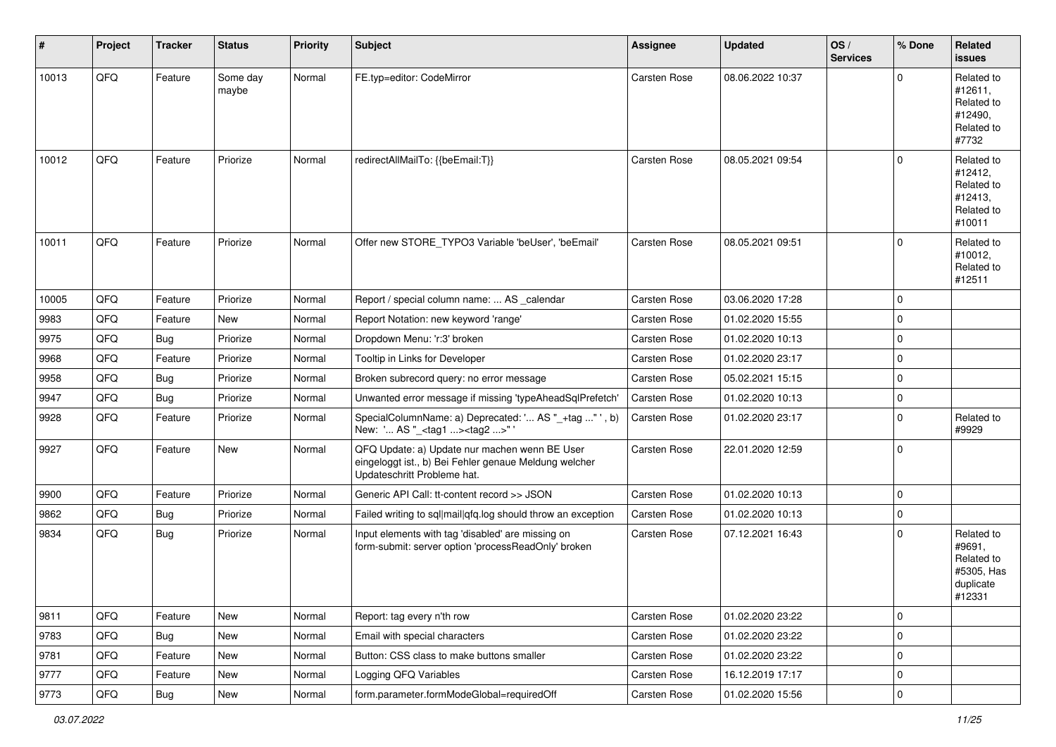| #     | Project | <b>Tracker</b> | <b>Status</b>     | <b>Priority</b> | <b>Subject</b>                                                                                                                        | <b>Assignee</b>     | <b>Updated</b>   | OS/<br><b>Services</b> | % Done      | Related<br>issues                                                       |
|-------|---------|----------------|-------------------|-----------------|---------------------------------------------------------------------------------------------------------------------------------------|---------------------|------------------|------------------------|-------------|-------------------------------------------------------------------------|
| 10013 | QFQ     | Feature        | Some day<br>maybe | Normal          | FE.typ=editor: CodeMirror                                                                                                             | Carsten Rose        | 08.06.2022 10:37 |                        | $\Omega$    | Related to<br>#12611,<br>Related to<br>#12490,<br>Related to<br>#7732   |
| 10012 | QFQ     | Feature        | Priorize          | Normal          | redirectAllMailTo: {{beEmail:T}}                                                                                                      | Carsten Rose        | 08.05.2021 09:54 |                        | $\Omega$    | Related to<br>#12412.<br>Related to<br>#12413,<br>Related to<br>#10011  |
| 10011 | QFQ     | Feature        | Priorize          | Normal          | Offer new STORE_TYPO3 Variable 'beUser', 'beEmail'                                                                                    | <b>Carsten Rose</b> | 08.05.2021 09:51 |                        | $\Omega$    | Related to<br>#10012,<br>Related to<br>#12511                           |
| 10005 | QFQ     | Feature        | Priorize          | Normal          | Report / special column name:  AS _calendar                                                                                           | Carsten Rose        | 03.06.2020 17:28 |                        | 0           |                                                                         |
| 9983  | QFQ     | Feature        | New               | Normal          | Report Notation: new keyword 'range'                                                                                                  | <b>Carsten Rose</b> | 01.02.2020 15:55 |                        | $\mathbf 0$ |                                                                         |
| 9975  | QFQ     | Bug            | Priorize          | Normal          | Dropdown Menu: 'r:3' broken                                                                                                           | Carsten Rose        | 01.02.2020 10:13 |                        | 0           |                                                                         |
| 9968  | QFQ     | Feature        | Priorize          | Normal          | Tooltip in Links for Developer                                                                                                        | Carsten Rose        | 01.02.2020 23:17 |                        | $\mathbf 0$ |                                                                         |
| 9958  | QFQ     | Bug            | Priorize          | Normal          | Broken subrecord query: no error message                                                                                              | Carsten Rose        | 05.02.2021 15:15 |                        | $\mathbf 0$ |                                                                         |
| 9947  | QFQ     | Bug            | Priorize          | Normal          | Unwanted error message if missing 'typeAheadSqlPrefetch'                                                                              | Carsten Rose        | 01.02.2020 10:13 |                        | $\mathbf 0$ |                                                                         |
| 9928  | QFQ     | Feature        | Priorize          | Normal          | SpecialColumnName: a) Deprecated: ' AS "_+tag " ', b)<br>New: ' AS "_ <tag1><tag2>"</tag2></tag1>                                     | Carsten Rose        | 01.02.2020 23:17 |                        | $\Omega$    | Related to<br>#9929                                                     |
| 9927  | QFQ     | Feature        | New               | Normal          | QFQ Update: a) Update nur machen wenn BE User<br>eingeloggt ist., b) Bei Fehler genaue Meldung welcher<br>Updateschritt Probleme hat. | Carsten Rose        | 22.01.2020 12:59 |                        | $\Omega$    |                                                                         |
| 9900  | QFQ     | Feature        | Priorize          | Normal          | Generic API Call: tt-content record >> JSON                                                                                           | Carsten Rose        | 01.02.2020 10:13 |                        | $\Omega$    |                                                                         |
| 9862  | QFQ     | <b>Bug</b>     | Priorize          | Normal          | Failed writing to sql mail qfq.log should throw an exception                                                                          | <b>Carsten Rose</b> | 01.02.2020 10:13 |                        | $\mathbf 0$ |                                                                         |
| 9834  | QFQ     | <b>Bug</b>     | Priorize          | Normal          | Input elements with tag 'disabled' are missing on<br>form-submit: server option 'processReadOnly' broken                              | Carsten Rose        | 07.12.2021 16:43 |                        | $\mathbf 0$ | Related to<br>#9691,<br>Related to<br>#5305, Has<br>duplicate<br>#12331 |
| 9811  | QFQ     | Feature        | New               | Normal          | Report: tag every n'th row                                                                                                            | Carsten Rose        | 01.02.2020 23:22 |                        | $\mathbf 0$ |                                                                         |
| 9783  | QFQ     | <b>Bug</b>     | New               | Normal          | Email with special characters                                                                                                         | Carsten Rose        | 01.02.2020 23:22 |                        | $\mathbf 0$ |                                                                         |
| 9781  | QFQ     | Feature        | New               | Normal          | Button: CSS class to make buttons smaller                                                                                             | Carsten Rose        | 01.02.2020 23:22 |                        | $\mathbf 0$ |                                                                         |
| 9777  | QFQ     | Feature        | New               | Normal          | Logging QFQ Variables                                                                                                                 | Carsten Rose        | 16.12.2019 17:17 |                        | $\mathbf 0$ |                                                                         |
| 9773  | QFQ     | <b>Bug</b>     | New               | Normal          | form.parameter.formModeGlobal=requiredOff                                                                                             | Carsten Rose        | 01.02.2020 15:56 |                        | $\mathsf 0$ |                                                                         |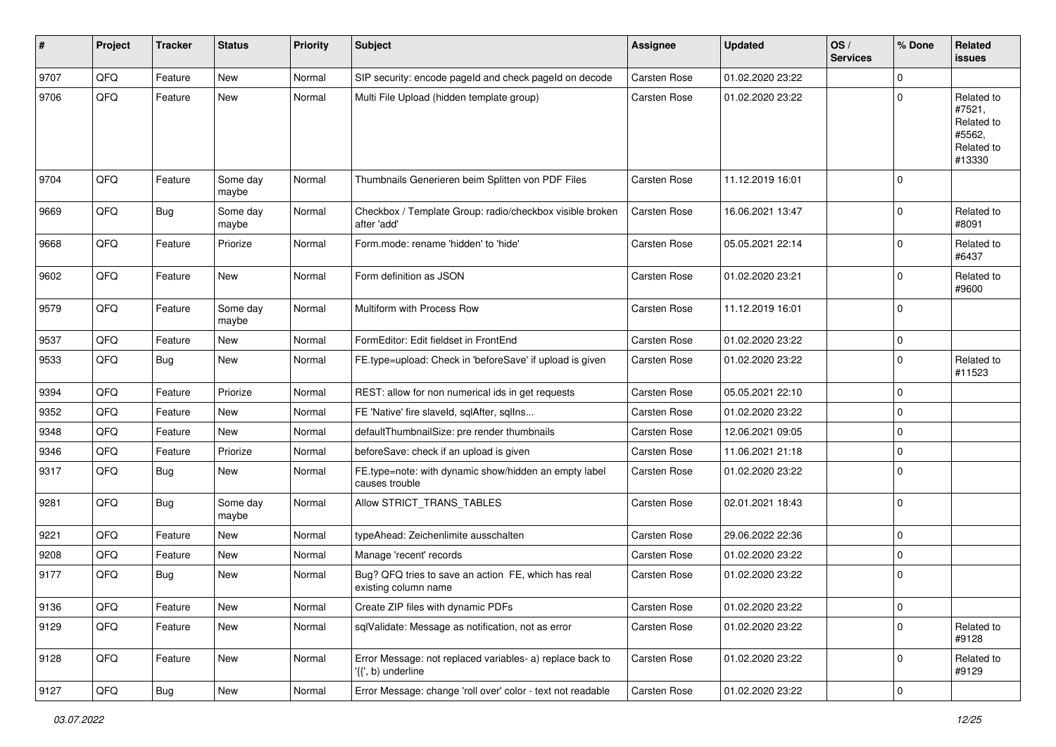| #    | Project | <b>Tracker</b> | <b>Status</b>     | <b>Priority</b> | <b>Subject</b>                                                                  | <b>Assignee</b>     | <b>Updated</b>   | OS/<br><b>Services</b> | % Done      | Related<br>issues                                                    |
|------|---------|----------------|-------------------|-----------------|---------------------------------------------------------------------------------|---------------------|------------------|------------------------|-------------|----------------------------------------------------------------------|
| 9707 | QFQ     | Feature        | <b>New</b>        | Normal          | SIP security: encode pageld and check pageld on decode                          | <b>Carsten Rose</b> | 01.02.2020 23:22 |                        | 0           |                                                                      |
| 9706 | QFQ     | Feature        | New               | Normal          | Multi File Upload (hidden template group)                                       | <b>Carsten Rose</b> | 01.02.2020 23:22 |                        | $\mathbf 0$ | Related to<br>#7521,<br>Related to<br>#5562,<br>Related to<br>#13330 |
| 9704 | QFQ     | Feature        | Some day<br>maybe | Normal          | Thumbnails Generieren beim Splitten von PDF Files                               | Carsten Rose        | 11.12.2019 16:01 |                        | $\Omega$    |                                                                      |
| 9669 | QFQ     | <b>Bug</b>     | Some day<br>maybe | Normal          | Checkbox / Template Group: radio/checkbox visible broken<br>after 'add'         | Carsten Rose        | 16.06.2021 13:47 |                        | $\mathbf 0$ | Related to<br>#8091                                                  |
| 9668 | QFQ     | Feature        | Priorize          | Normal          | Form.mode: rename 'hidden' to 'hide'                                            | <b>Carsten Rose</b> | 05.05.2021 22:14 |                        | $\mathbf 0$ | Related to<br>#6437                                                  |
| 9602 | QFQ     | Feature        | New               | Normal          | Form definition as JSON                                                         | Carsten Rose        | 01.02.2020 23:21 |                        | $\mathbf 0$ | Related to<br>#9600                                                  |
| 9579 | QFQ     | Feature        | Some day<br>maybe | Normal          | Multiform with Process Row                                                      | <b>Carsten Rose</b> | 11.12.2019 16:01 |                        | $\mathbf 0$ |                                                                      |
| 9537 | QFQ     | Feature        | <b>New</b>        | Normal          | FormEditor: Edit fieldset in FrontEnd                                           | Carsten Rose        | 01.02.2020 23:22 |                        | $\mathbf 0$ |                                                                      |
| 9533 | QFQ     | Bug            | <b>New</b>        | Normal          | FE.type=upload: Check in 'beforeSave' if upload is given                        | Carsten Rose        | 01.02.2020 23:22 |                        | $\mathbf 0$ | Related to<br>#11523                                                 |
| 9394 | QFQ     | Feature        | Priorize          | Normal          | REST: allow for non numerical ids in get requests                               | <b>Carsten Rose</b> | 05.05.2021 22:10 |                        | 0           |                                                                      |
| 9352 | QFQ     | Feature        | <b>New</b>        | Normal          | FE 'Native' fire slaveld, sqlAfter, sqlIns                                      | Carsten Rose        | 01.02.2020 23:22 |                        | 0           |                                                                      |
| 9348 | QFQ     | Feature        | <b>New</b>        | Normal          | defaultThumbnailSize: pre render thumbnails                                     | Carsten Rose        | 12.06.2021 09:05 |                        | $\mathbf 0$ |                                                                      |
| 9346 | QFQ     | Feature        | Priorize          | Normal          | beforeSave: check if an upload is given                                         | Carsten Rose        | 11.06.2021 21:18 |                        | 0           |                                                                      |
| 9317 | QFQ     | Bug            | New               | Normal          | FE.type=note: with dynamic show/hidden an empty label<br>causes trouble         | Carsten Rose        | 01.02.2020 23:22 |                        | $\mathbf 0$ |                                                                      |
| 9281 | QFQ     | <b>Bug</b>     | Some day<br>maybe | Normal          | Allow STRICT_TRANS_TABLES                                                       | Carsten Rose        | 02.01.2021 18:43 |                        | $\mathbf 0$ |                                                                      |
| 9221 | QFQ     | Feature        | <b>New</b>        | Normal          | typeAhead: Zeichenlimite ausschalten                                            | Carsten Rose        | 29.06.2022 22:36 |                        | 0           |                                                                      |
| 9208 | QFQ     | Feature        | New               | Normal          | Manage 'recent' records                                                         | Carsten Rose        | 01.02.2020 23:22 |                        | 0           |                                                                      |
| 9177 | QFQ     | Bug            | <b>New</b>        | Normal          | Bug? QFQ tries to save an action FE, which has real<br>existing column name     | <b>Carsten Rose</b> | 01.02.2020 23:22 |                        | $\mathbf 0$ |                                                                      |
| 9136 | QFO     | Feature        | New               | Normal          | Create ZIP files with dynamic PDFs                                              | Carsten Rose        | 01.02.2020 23:22 |                        | 0           |                                                                      |
| 9129 | QFQ     | Feature        | New               | Normal          | sqlValidate: Message as notification, not as error                              | Carsten Rose        | 01.02.2020 23:22 |                        | $\mathbf 0$ | Related to<br>#9128                                                  |
| 9128 | QFQ     | Feature        | New               | Normal          | Error Message: not replaced variables- a) replace back to<br>'{{', b) underline | Carsten Rose        | 01.02.2020 23:22 |                        | $\mathbf 0$ | Related to<br>#9129                                                  |
| 9127 | QFG     | Bug            | New               | Normal          | Error Message: change 'roll over' color - text not readable                     | Carsten Rose        | 01.02.2020 23:22 |                        | $\pmb{0}$   |                                                                      |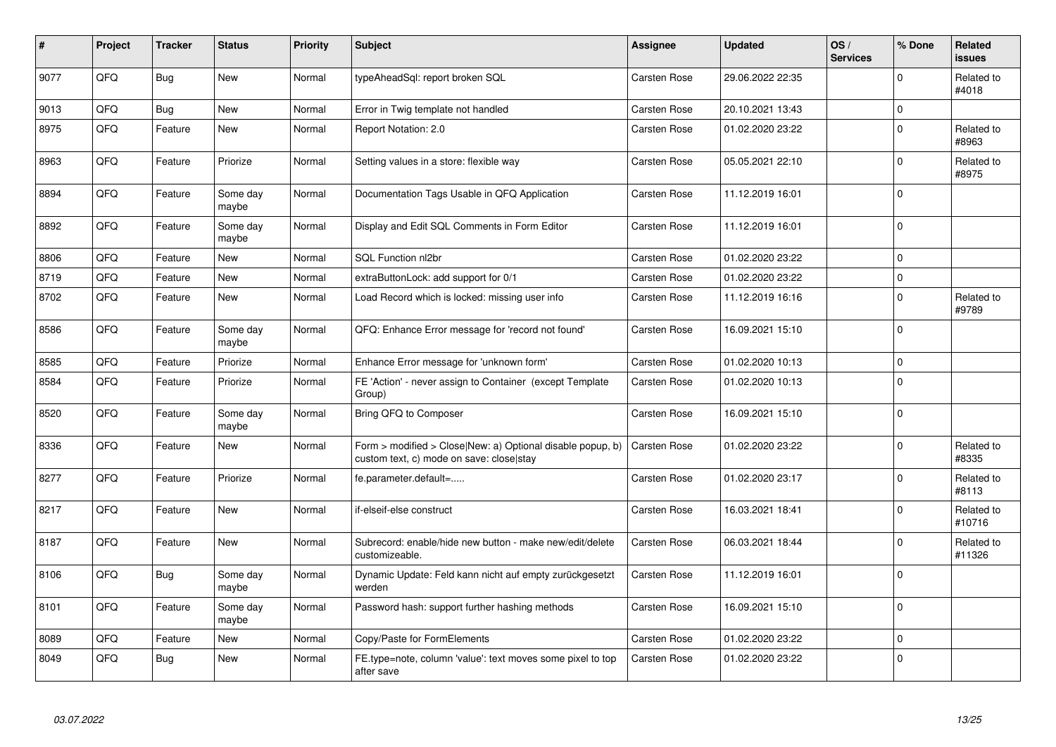| ∦    | Project | <b>Tracker</b> | <b>Status</b>     | <b>Priority</b> | <b>Subject</b>                                                                                         | <b>Assignee</b>     | <b>Updated</b>   | OS/<br><b>Services</b> | % Done         | <b>Related</b><br><b>issues</b> |
|------|---------|----------------|-------------------|-----------------|--------------------------------------------------------------------------------------------------------|---------------------|------------------|------------------------|----------------|---------------------------------|
| 9077 | QFQ     | <b>Bug</b>     | <b>New</b>        | Normal          | typeAheadSql: report broken SQL                                                                        | Carsten Rose        | 29.06.2022 22:35 |                        | $\Omega$       | Related to<br>#4018             |
| 9013 | QFQ     | <b>Bug</b>     | <b>New</b>        | Normal          | Error in Twig template not handled                                                                     | Carsten Rose        | 20.10.2021 13:43 |                        | 0              |                                 |
| 8975 | QFQ     | Feature        | <b>New</b>        | Normal          | Report Notation: 2.0                                                                                   | Carsten Rose        | 01.02.2020 23:22 |                        | $\mathbf 0$    | Related to<br>#8963             |
| 8963 | QFQ     | Feature        | Priorize          | Normal          | Setting values in a store: flexible way                                                                | <b>Carsten Rose</b> | 05.05.2021 22:10 |                        | $\mathbf 0$    | Related to<br>#8975             |
| 8894 | QFQ     | Feature        | Some day<br>maybe | Normal          | Documentation Tags Usable in QFQ Application                                                           | Carsten Rose        | 11.12.2019 16:01 |                        | 0              |                                 |
| 8892 | QFQ     | Feature        | Some day<br>maybe | Normal          | Display and Edit SQL Comments in Form Editor                                                           | Carsten Rose        | 11.12.2019 16:01 |                        | 0              |                                 |
| 8806 | QFQ     | Feature        | <b>New</b>        | Normal          | SQL Function nl2br                                                                                     | <b>Carsten Rose</b> | 01.02.2020 23:22 |                        | $\Omega$       |                                 |
| 8719 | QFQ     | Feature        | <b>New</b>        | Normal          | extraButtonLock: add support for 0/1                                                                   | Carsten Rose        | 01.02.2020 23:22 |                        | $\overline{0}$ |                                 |
| 8702 | QFQ     | Feature        | New               | Normal          | Load Record which is locked: missing user info                                                         | Carsten Rose        | 11.12.2019 16:16 |                        | $\Omega$       | Related to<br>#9789             |
| 8586 | QFQ     | Feature        | Some day<br>maybe | Normal          | QFQ: Enhance Error message for 'record not found'                                                      | <b>Carsten Rose</b> | 16.09.2021 15:10 |                        | 0              |                                 |
| 8585 | QFQ     | Feature        | Priorize          | Normal          | Enhance Error message for 'unknown form'                                                               | <b>Carsten Rose</b> | 01.02.2020 10:13 |                        | 0              |                                 |
| 8584 | QFQ     | Feature        | Priorize          | Normal          | FE 'Action' - never assign to Container (except Template<br>Group)                                     | <b>Carsten Rose</b> | 01.02.2020 10:13 |                        | $\overline{0}$ |                                 |
| 8520 | QFQ     | Feature        | Some day<br>maybe | Normal          | Bring QFQ to Composer                                                                                  | Carsten Rose        | 16.09.2021 15:10 |                        | 0              |                                 |
| 8336 | QFQ     | Feature        | <b>New</b>        | Normal          | Form > modified > Close New: a) Optional disable popup, b)<br>custom text, c) mode on save: close stay | <b>Carsten Rose</b> | 01.02.2020 23:22 |                        | 0              | Related to<br>#8335             |
| 8277 | QFQ     | Feature        | Priorize          | Normal          | fe.parameter.default=                                                                                  | <b>Carsten Rose</b> | 01.02.2020 23:17 |                        | 0              | Related to<br>#8113             |
| 8217 | QFQ     | Feature        | <b>New</b>        | Normal          | if-elseif-else construct                                                                               | <b>Carsten Rose</b> | 16.03.2021 18:41 |                        | $\Omega$       | Related to<br>#10716            |
| 8187 | QFQ     | Feature        | <b>New</b>        | Normal          | Subrecord: enable/hide new button - make new/edit/delete<br>customizeable.                             | <b>Carsten Rose</b> | 06.03.2021 18:44 |                        | 0              | Related to<br>#11326            |
| 8106 | QFQ     | <b>Bug</b>     | Some day<br>maybe | Normal          | Dynamic Update: Feld kann nicht auf empty zurückgesetzt<br>werden                                      | Carsten Rose        | 11.12.2019 16:01 |                        | $\Omega$       |                                 |
| 8101 | QFQ     | Feature        | Some day<br>maybe | Normal          | Password hash: support further hashing methods                                                         | Carsten Rose        | 16.09.2021 15:10 |                        | 0              |                                 |
| 8089 | QFQ     | Feature        | <b>New</b>        | Normal          | Copy/Paste for FormElements                                                                            | <b>Carsten Rose</b> | 01.02.2020 23:22 |                        | 0              |                                 |
| 8049 | QFQ     | <b>Bug</b>     | <b>New</b>        | Normal          | FE.type=note, column 'value': text moves some pixel to top<br>after save                               | Carsten Rose        | 01.02.2020 23:22 |                        | $\mathbf 0$    |                                 |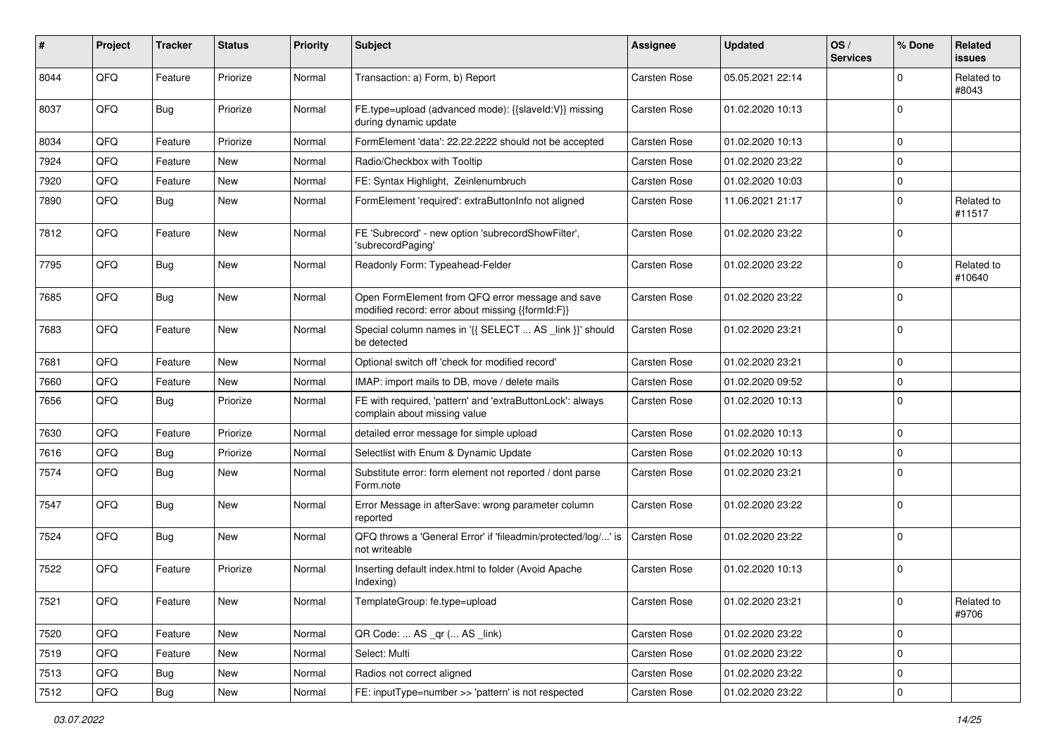| ∦    | Project | <b>Tracker</b> | <b>Status</b> | <b>Priority</b> | Subject                                                                                               | <b>Assignee</b>     | <b>Updated</b>   | OS/<br><b>Services</b> | % Done      | Related<br>issues    |
|------|---------|----------------|---------------|-----------------|-------------------------------------------------------------------------------------------------------|---------------------|------------------|------------------------|-------------|----------------------|
| 8044 | QFQ     | Feature        | Priorize      | Normal          | Transaction: a) Form, b) Report                                                                       | Carsten Rose        | 05.05.2021 22:14 |                        | $\mathbf 0$ | Related to<br>#8043  |
| 8037 | QFQ     | Bug            | Priorize      | Normal          | FE.type=upload (advanced mode): {{slaveld:V}} missing<br>during dynamic update                        | <b>Carsten Rose</b> | 01.02.2020 10:13 |                        | $\Omega$    |                      |
| 8034 | QFQ     | Feature        | Priorize      | Normal          | FormElement 'data': 22.22.2222 should not be accepted                                                 | Carsten Rose        | 01.02.2020 10:13 |                        | $\Omega$    |                      |
| 7924 | QFQ     | Feature        | New           | Normal          | Radio/Checkbox with Tooltip                                                                           | Carsten Rose        | 01.02.2020 23:22 |                        | $\Omega$    |                      |
| 7920 | QFQ     | Feature        | New           | Normal          | FE: Syntax Highlight, Zeinlenumbruch                                                                  | Carsten Rose        | 01.02.2020 10:03 |                        | 0           |                      |
| 7890 | QFQ     | Bug            | <b>New</b>    | Normal          | FormElement 'required': extraButtonInfo not aligned                                                   | <b>Carsten Rose</b> | 11.06.2021 21:17 |                        | 0           | Related to<br>#11517 |
| 7812 | QFQ     | Feature        | <b>New</b>    | Normal          | FE 'Subrecord' - new option 'subrecordShowFilter',<br>'subrecordPaging'                               | <b>Carsten Rose</b> | 01.02.2020 23:22 |                        | $\Omega$    |                      |
| 7795 | QFQ     | <b>Bug</b>     | <b>New</b>    | Normal          | Readonly Form: Typeahead-Felder                                                                       | Carsten Rose        | 01.02.2020 23:22 |                        | 0           | Related to<br>#10640 |
| 7685 | QFQ     | Bug            | New           | Normal          | Open FormElement from QFQ error message and save<br>modified record: error about missing {{formId:F}} | Carsten Rose        | 01.02.2020 23:22 |                        | $\Omega$    |                      |
| 7683 | QFQ     | Feature        | <b>New</b>    | Normal          | Special column names in '{{ SELECT  AS _link }}' should<br>be detected                                | Carsten Rose        | 01.02.2020 23:21 |                        | $\Omega$    |                      |
| 7681 | QFQ     | Feature        | <b>New</b>    | Normal          | Optional switch off 'check for modified record'                                                       | Carsten Rose        | 01.02.2020 23:21 |                        | 0           |                      |
| 7660 | QFQ     | Feature        | New           | Normal          | IMAP: import mails to DB, move / delete mails                                                         | Carsten Rose        | 01.02.2020 09:52 |                        | $\Omega$    |                      |
| 7656 | QFQ     | Bug            | Priorize      | Normal          | FE with required, 'pattern' and 'extraButtonLock': always<br>complain about missing value             | Carsten Rose        | 01.02.2020 10:13 |                        | $\Omega$    |                      |
| 7630 | QFQ     | Feature        | Priorize      | Normal          | detailed error message for simple upload                                                              | Carsten Rose        | 01.02.2020 10:13 |                        | 0           |                      |
| 7616 | QFQ     | <b>Bug</b>     | Priorize      | Normal          | Selectlist with Enum & Dynamic Update                                                                 | Carsten Rose        | 01.02.2020 10:13 |                        | $\mathbf 0$ |                      |
| 7574 | QFQ     | Bug            | New           | Normal          | Substitute error: form element not reported / dont parse<br>Form.note                                 | Carsten Rose        | 01.02.2020 23:21 |                        | $\Omega$    |                      |
| 7547 | QFQ     | Bug            | <b>New</b>    | Normal          | Error Message in afterSave: wrong parameter column<br>reported                                        | Carsten Rose        | 01.02.2020 23:22 |                        | $\Omega$    |                      |
| 7524 | QFQ     | <b>Bug</b>     | <b>New</b>    | Normal          | QFQ throws a 'General Error' if 'fileadmin/protected/log/' is<br>not writeable                        | Carsten Rose        | 01.02.2020 23:22 |                        | $\Omega$    |                      |
| 7522 | QFQ     | Feature        | Priorize      | Normal          | Inserting default index.html to folder (Avoid Apache<br>Indexing)                                     | Carsten Rose        | 01.02.2020 10:13 |                        | 0           |                      |
| 7521 | QFQ     | Feature        | New           | Normal          | TemplateGroup: fe.type=upload                                                                         | Carsten Rose        | 01.02.2020 23:21 |                        | 0           | Related to<br>#9706  |
| 7520 | QFQ     | Feature        | New           | Normal          | QR Code:  AS _qr ( AS _link)                                                                          | Carsten Rose        | 01.02.2020 23:22 |                        | 0           |                      |
| 7519 | QFQ     | Feature        | New           | Normal          | Select: Multi                                                                                         | Carsten Rose        | 01.02.2020 23:22 |                        | 0           |                      |
| 7513 | QFQ     | Bug            | New           | Normal          | Radios not correct aligned                                                                            | Carsten Rose        | 01.02.2020 23:22 |                        | 0           |                      |
| 7512 | QFQ     | Bug            | New           | Normal          | FE: inputType=number >> 'pattern' is not respected                                                    | Carsten Rose        | 01.02.2020 23:22 |                        | $\pmb{0}$   |                      |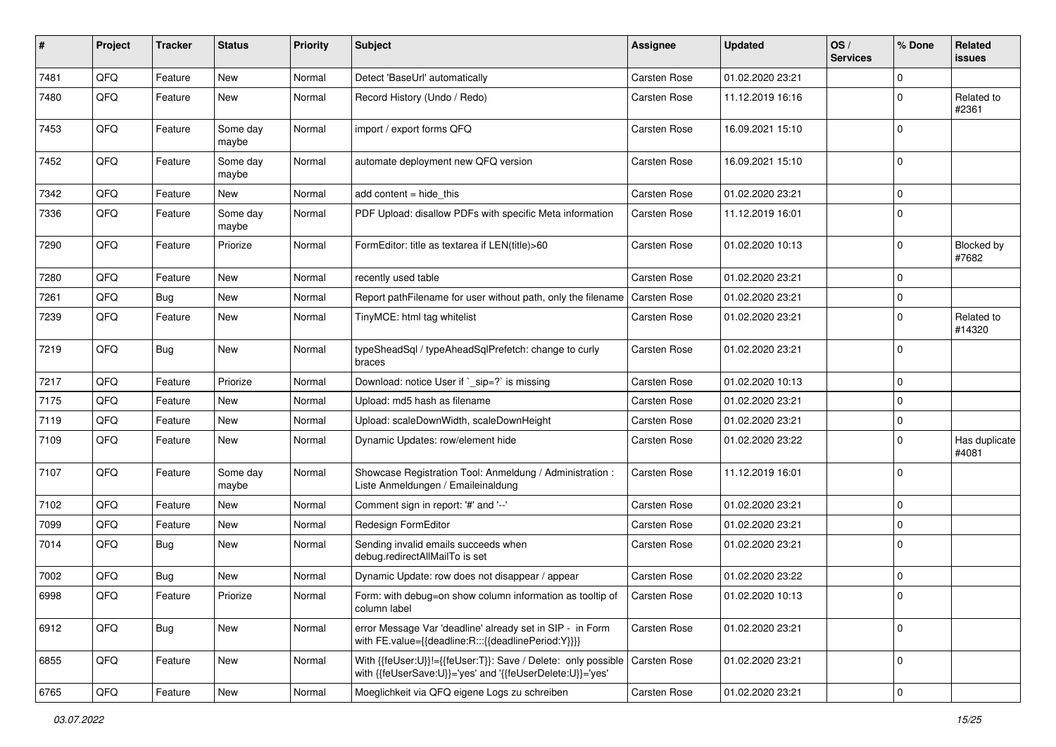| #    | Project | <b>Tracker</b> | <b>Status</b>     | <b>Priority</b> | Subject                                                                                                                                   | <b>Assignee</b>     | <b>Updated</b>   | OS/<br><b>Services</b> | % Done      | Related<br>issues      |
|------|---------|----------------|-------------------|-----------------|-------------------------------------------------------------------------------------------------------------------------------------------|---------------------|------------------|------------------------|-------------|------------------------|
| 7481 | QFQ     | Feature        | <b>New</b>        | Normal          | Detect 'BaseUrl' automatically                                                                                                            | <b>Carsten Rose</b> | 01.02.2020 23:21 |                        | $\mathbf 0$ |                        |
| 7480 | QFQ     | Feature        | New               | Normal          | Record History (Undo / Redo)                                                                                                              | Carsten Rose        | 11.12.2019 16:16 |                        | $\mathbf 0$ | Related to<br>#2361    |
| 7453 | QFQ     | Feature        | Some day<br>maybe | Normal          | import / export forms QFQ                                                                                                                 | Carsten Rose        | 16.09.2021 15:10 |                        | $\Omega$    |                        |
| 7452 | QFQ     | Feature        | Some day<br>maybe | Normal          | automate deployment new QFQ version                                                                                                       | Carsten Rose        | 16.09.2021 15:10 |                        | $\Omega$    |                        |
| 7342 | QFQ     | Feature        | New               | Normal          | add content $=$ hide this                                                                                                                 | Carsten Rose        | 01.02.2020 23:21 |                        | 0           |                        |
| 7336 | QFQ     | Feature        | Some day<br>maybe | Normal          | PDF Upload: disallow PDFs with specific Meta information                                                                                  | Carsten Rose        | 11.12.2019 16:01 |                        | $\Omega$    |                        |
| 7290 | QFQ     | Feature        | Priorize          | Normal          | FormEditor: title as textarea if LEN(title)>60                                                                                            | Carsten Rose        | 01.02.2020 10:13 |                        | $\mathbf 0$ | Blocked by<br>#7682    |
| 7280 | QFQ     | Feature        | New               | Normal          | recently used table                                                                                                                       | Carsten Rose        | 01.02.2020 23:21 |                        | $\Omega$    |                        |
| 7261 | QFQ     | <b>Bug</b>     | <b>New</b>        | Normal          | Report path Filename for user without path, only the filename   Carsten Rose                                                              |                     | 01.02.2020 23:21 |                        | $\mathbf 0$ |                        |
| 7239 | QFQ     | Feature        | <b>New</b>        | Normal          | TinyMCE: html tag whitelist                                                                                                               | Carsten Rose        | 01.02.2020 23:21 |                        | $\mathbf 0$ | Related to<br>#14320   |
| 7219 | QFQ     | <b>Bug</b>     | <b>New</b>        | Normal          | typeSheadSql / typeAheadSqlPrefetch: change to curly<br>braces                                                                            | <b>Carsten Rose</b> | 01.02.2020 23:21 |                        | $\Omega$    |                        |
| 7217 | QFQ     | Feature        | Priorize          | Normal          | Download: notice User if `_sip=?` is missing                                                                                              | Carsten Rose        | 01.02.2020 10:13 |                        | $\Omega$    |                        |
| 7175 | QFQ     | Feature        | <b>New</b>        | Normal          | Upload: md5 hash as filename                                                                                                              | Carsten Rose        | 01.02.2020 23:21 |                        | $\mathbf 0$ |                        |
| 7119 | QFQ     | Feature        | New               | Normal          | Upload: scaleDownWidth, scaleDownHeight                                                                                                   | Carsten Rose        | 01.02.2020 23:21 |                        | $\mathbf 0$ |                        |
| 7109 | QFQ     | Feature        | New               | Normal          | Dynamic Updates: row/element hide                                                                                                         | Carsten Rose        | 01.02.2020 23:22 |                        | $\mathbf 0$ | Has duplicate<br>#4081 |
| 7107 | QFQ     | Feature        | Some day<br>maybe | Normal          | Showcase Registration Tool: Anmeldung / Administration :<br>Liste Anmeldungen / Emaileinaldung                                            | Carsten Rose        | 11.12.2019 16:01 |                        | $\Omega$    |                        |
| 7102 | QFQ     | Feature        | New               | Normal          | Comment sign in report: '#' and '--'                                                                                                      | Carsten Rose        | 01.02.2020 23:21 |                        | $\mathbf 0$ |                        |
| 7099 | QFQ     | Feature        | New               | Normal          | Redesign FormEditor                                                                                                                       | Carsten Rose        | 01.02.2020 23:21 |                        | $\Omega$    |                        |
| 7014 | QFQ     | <b>Bug</b>     | <b>New</b>        | Normal          | Sending invalid emails succeeds when<br>debug.redirectAllMailTo is set                                                                    | Carsten Rose        | 01.02.2020 23:21 |                        | $\Omega$    |                        |
| 7002 | QFQ     | <b>Bug</b>     | New               | Normal          | Dynamic Update: row does not disappear / appear                                                                                           | Carsten Rose        | 01.02.2020 23:22 |                        | $\mathbf 0$ |                        |
| 6998 | QFQ     | Feature        | Priorize          | Normal          | Form: with debug=on show column information as tooltip of<br>column label                                                                 | Carsten Rose        | 01.02.2020 10:13 |                        | $\Omega$    |                        |
| 6912 | QFQ     | Bug            | New               | Normal          | error Message Var 'deadline' already set in SIP - in Form<br>with FE.value={{deadline:R:::{{deadlinePeriod:Y}}}}                          | Carsten Rose        | 01.02.2020 23:21 |                        | $\pmb{0}$   |                        |
| 6855 | QFG     | Feature        | New               | Normal          | With {{feUser:U}}!={{feUser:T}}: Save / Delete: only possible   Carsten Rose<br>with {{feUserSave:U}}='yes' and '{{feUserDelete:U}}='yes' |                     | 01.02.2020 23:21 |                        | 0           |                        |
| 6765 | QFQ     | Feature        | New               | Normal          | Moeglichkeit via QFQ eigene Logs zu schreiben                                                                                             | Carsten Rose        | 01.02.2020 23:21 |                        | $\pmb{0}$   |                        |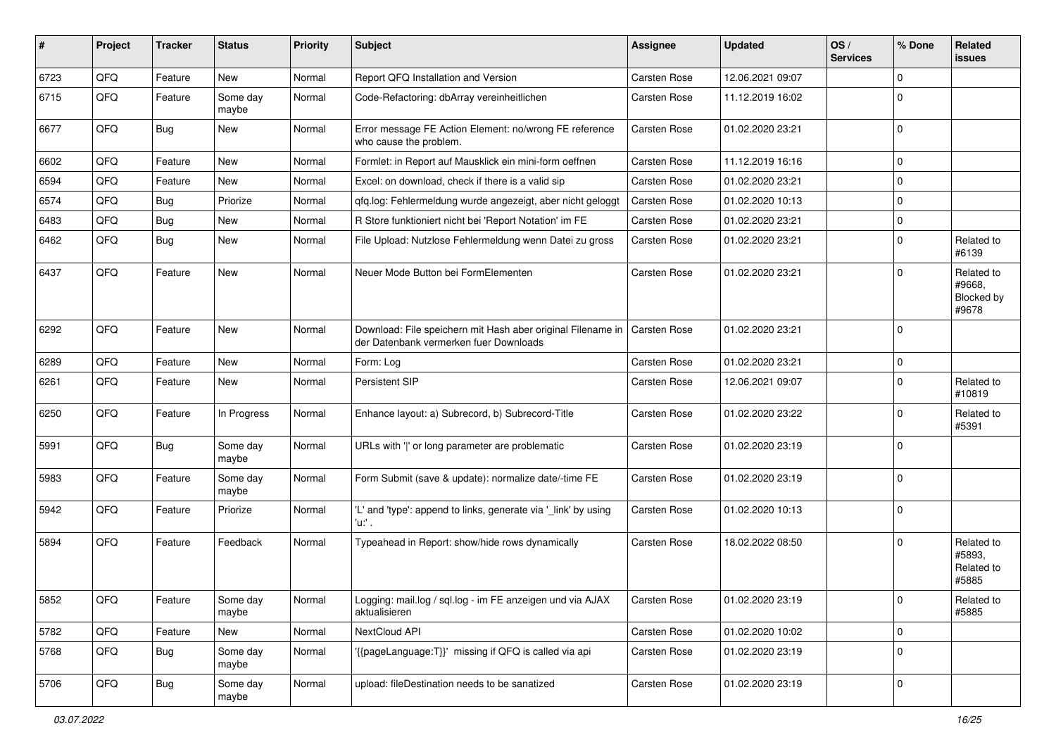| ∦    | Project | <b>Tracker</b> | <b>Status</b>     | <b>Priority</b> | <b>Subject</b>                                                                                          | Assignee            | <b>Updated</b>   | OS/<br><b>Services</b> | % Done      | Related<br>issues                                  |
|------|---------|----------------|-------------------|-----------------|---------------------------------------------------------------------------------------------------------|---------------------|------------------|------------------------|-------------|----------------------------------------------------|
| 6723 | QFQ     | Feature        | <b>New</b>        | Normal          | Report QFQ Installation and Version                                                                     | Carsten Rose        | 12.06.2021 09:07 |                        | $\Omega$    |                                                    |
| 6715 | QFQ     | Feature        | Some day<br>maybe | Normal          | Code-Refactoring: dbArray vereinheitlichen                                                              | Carsten Rose        | 11.12.2019 16:02 |                        | $\mathbf 0$ |                                                    |
| 6677 | QFQ     | <b>Bug</b>     | <b>New</b>        | Normal          | Error message FE Action Element: no/wrong FE reference<br>who cause the problem.                        | <b>Carsten Rose</b> | 01.02.2020 23:21 |                        | $\Omega$    |                                                    |
| 6602 | QFQ     | Feature        | <b>New</b>        | Normal          | Formlet: in Report auf Mausklick ein mini-form oeffnen                                                  | Carsten Rose        | 11.12.2019 16:16 |                        | $\Omega$    |                                                    |
| 6594 | QFQ     | Feature        | New               | Normal          | Excel: on download, check if there is a valid sip                                                       | <b>Carsten Rose</b> | 01.02.2020 23:21 |                        | $\mathbf 0$ |                                                    |
| 6574 | QFQ     | Bug            | Priorize          | Normal          | qfq.log: Fehlermeldung wurde angezeigt, aber nicht geloggt                                              | <b>Carsten Rose</b> | 01.02.2020 10:13 |                        | $\mathbf 0$ |                                                    |
| 6483 | QFQ     | Bug            | <b>New</b>        | Normal          | R Store funktioniert nicht bei 'Report Notation' im FE                                                  | Carsten Rose        | 01.02.2020 23:21 |                        | $\mathbf 0$ |                                                    |
| 6462 | QFQ     | Bug            | New               | Normal          | File Upload: Nutzlose Fehlermeldung wenn Datei zu gross                                                 | <b>Carsten Rose</b> | 01.02.2020 23:21 |                        | $\mathbf 0$ | Related to<br>#6139                                |
| 6437 | QFQ     | Feature        | <b>New</b>        | Normal          | Neuer Mode Button bei FormElementen                                                                     | <b>Carsten Rose</b> | 01.02.2020 23:21 |                        | $\Omega$    | Related to<br>#9668,<br><b>Blocked by</b><br>#9678 |
| 6292 | QFQ     | Feature        | <b>New</b>        | Normal          | Download: File speichern mit Hash aber original Filename in  <br>der Datenbank vermerken fuer Downloads | <b>Carsten Rose</b> | 01.02.2020 23:21 |                        | $\Omega$    |                                                    |
| 6289 | QFQ     | Feature        | <b>New</b>        | Normal          | Form: Log                                                                                               | <b>Carsten Rose</b> | 01.02.2020 23:21 |                        | $\mathbf 0$ |                                                    |
| 6261 | QFQ     | Feature        | New               | Normal          | Persistent SIP                                                                                          | <b>Carsten Rose</b> | 12.06.2021 09:07 |                        | $\mathbf 0$ | Related to<br>#10819                               |
| 6250 | QFQ     | Feature        | In Progress       | Normal          | Enhance layout: a) Subrecord, b) Subrecord-Title                                                        | Carsten Rose        | 01.02.2020 23:22 |                        | $\mathbf 0$ | Related to<br>#5391                                |
| 5991 | QFQ     | Bug            | Some day<br>maybe | Normal          | URLs with ' ' or long parameter are problematic                                                         | Carsten Rose        | 01.02.2020 23:19 |                        | $\Omega$    |                                                    |
| 5983 | QFQ     | Feature        | Some day<br>maybe | Normal          | Form Submit (save & update): normalize date/-time FE                                                    | Carsten Rose        | 01.02.2020 23:19 |                        | $\mathbf 0$ |                                                    |
| 5942 | QFQ     | Feature        | Priorize          | Normal          | 'L' and 'type': append to links, generate via '_link' by using<br>'u:' .                                | Carsten Rose        | 01.02.2020 10:13 |                        | $\mathbf 0$ |                                                    |
| 5894 | QFQ     | Feature        | Feedback          | Normal          | Typeahead in Report: show/hide rows dynamically                                                         | <b>Carsten Rose</b> | 18.02.2022 08:50 |                        | $\mathbf 0$ | Related to<br>#5893,<br>Related to<br>#5885        |
| 5852 | QFG     | Feature        | Some day<br>maybe | Normal          | Logging: mail.log / sql.log - im FE anzeigen und via AJAX<br>aktualisieren                              | Carsten Rose        | 01.02.2020 23:19 |                        | O           | Related to<br>#5885                                |
| 5782 | QFQ     | Feature        | New               | Normal          | NextCloud API                                                                                           | Carsten Rose        | 01.02.2020 10:02 |                        | $\mathbf 0$ |                                                    |
| 5768 | QFQ     | <b>Bug</b>     | Some day<br>maybe | Normal          | '{{pageLanguage:T}}' missing if QFQ is called via api                                                   | Carsten Rose        | 01.02.2020 23:19 |                        | $\mathbf 0$ |                                                    |
| 5706 | QFO     | <b>Bug</b>     | Some day<br>maybe | Normal          | upload: fileDestination needs to be sanatized                                                           | Carsten Rose        | 01.02.2020 23:19 |                        | 0           |                                                    |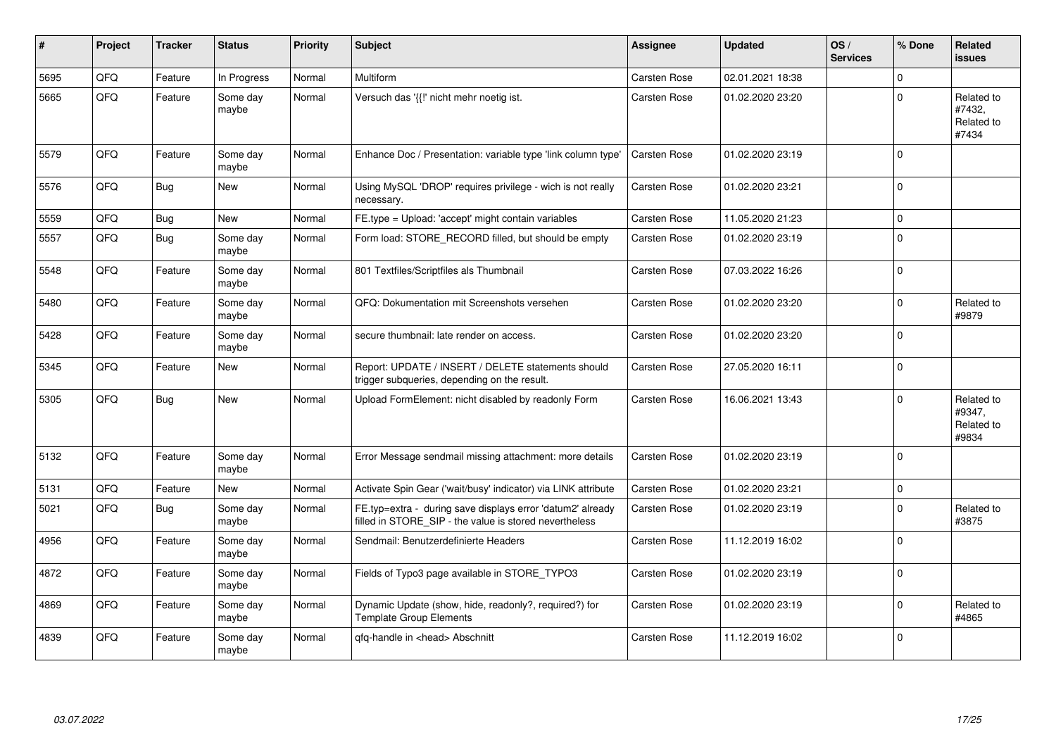| #    | Project | <b>Tracker</b> | <b>Status</b>     | <b>Priority</b> | <b>Subject</b>                                                                                                       | <b>Assignee</b>     | <b>Updated</b>   | OS/<br><b>Services</b> | % Done      | Related<br>issues                           |
|------|---------|----------------|-------------------|-----------------|----------------------------------------------------------------------------------------------------------------------|---------------------|------------------|------------------------|-------------|---------------------------------------------|
| 5695 | QFQ     | Feature        | In Progress       | Normal          | Multiform                                                                                                            | Carsten Rose        | 02.01.2021 18:38 |                        | $\Omega$    |                                             |
| 5665 | QFQ     | Feature        | Some day<br>maybe | Normal          | Versuch das '{{!' nicht mehr noetig ist.                                                                             | Carsten Rose        | 01.02.2020 23:20 |                        | $\Omega$    | Related to<br>#7432,<br>Related to<br>#7434 |
| 5579 | QFQ     | Feature        | Some day<br>maybe | Normal          | Enhance Doc / Presentation: variable type 'link column type'                                                         | Carsten Rose        | 01.02.2020 23:19 |                        | $\Omega$    |                                             |
| 5576 | QFQ     | Bug            | New               | Normal          | Using MySQL 'DROP' requires privilege - wich is not really<br>necessary.                                             | Carsten Rose        | 01.02.2020 23:21 |                        | $\Omega$    |                                             |
| 5559 | QFQ     | Bug            | <b>New</b>        | Normal          | FE.type = Upload: 'accept' might contain variables                                                                   | Carsten Rose        | 11.05.2020 21:23 |                        | $\mathbf 0$ |                                             |
| 5557 | QFQ     | <b>Bug</b>     | Some day<br>maybe | Normal          | Form load: STORE RECORD filled, but should be empty                                                                  | Carsten Rose        | 01.02.2020 23:19 |                        | $\mathbf 0$ |                                             |
| 5548 | QFQ     | Feature        | Some day<br>maybe | Normal          | 801 Textfiles/Scriptfiles als Thumbnail                                                                              | Carsten Rose        | 07.03.2022 16:26 |                        | $\Omega$    |                                             |
| 5480 | QFQ     | Feature        | Some day<br>maybe | Normal          | QFQ: Dokumentation mit Screenshots versehen                                                                          | Carsten Rose        | 01.02.2020 23:20 |                        | $\Omega$    | Related to<br>#9879                         |
| 5428 | QFQ     | Feature        | Some day<br>maybe | Normal          | secure thumbnail: late render on access.                                                                             | <b>Carsten Rose</b> | 01.02.2020 23:20 |                        | $\Omega$    |                                             |
| 5345 | QFQ     | Feature        | <b>New</b>        | Normal          | Report: UPDATE / INSERT / DELETE statements should<br>trigger subqueries, depending on the result.                   | Carsten Rose        | 27.05.2020 16:11 |                        | $\mathbf 0$ |                                             |
| 5305 | QFQ     | <b>Bug</b>     | New               | Normal          | Upload FormElement: nicht disabled by readonly Form                                                                  | Carsten Rose        | 16.06.2021 13:43 |                        | $\mathbf 0$ | Related to<br>#9347,<br>Related to<br>#9834 |
| 5132 | QFQ     | Feature        | Some day<br>maybe | Normal          | Error Message sendmail missing attachment: more details                                                              | Carsten Rose        | 01.02.2020 23:19 |                        | $\mathbf 0$ |                                             |
| 5131 | QFQ     | Feature        | <b>New</b>        | Normal          | Activate Spin Gear ('wait/busy' indicator) via LINK attribute                                                        | Carsten Rose        | 01.02.2020 23:21 |                        | $\mathbf 0$ |                                             |
| 5021 | QFQ     | Bug            | Some day<br>maybe | Normal          | FE.typ=extra - during save displays error 'datum2' already<br>filled in STORE_SIP - the value is stored nevertheless | Carsten Rose        | 01.02.2020 23:19 |                        | $\Omega$    | Related to<br>#3875                         |
| 4956 | QFQ     | Feature        | Some day<br>maybe | Normal          | Sendmail: Benutzerdefinierte Headers                                                                                 | Carsten Rose        | 11.12.2019 16:02 |                        | $\Omega$    |                                             |
| 4872 | QFQ     | Feature        | Some day<br>maybe | Normal          | Fields of Typo3 page available in STORE TYPO3                                                                        | Carsten Rose        | 01.02.2020 23:19 |                        | $\mathbf 0$ |                                             |
| 4869 | QFQ     | Feature        | Some day<br>maybe | Normal          | Dynamic Update (show, hide, readonly?, required?) for<br><b>Template Group Elements</b>                              | Carsten Rose        | 01.02.2020 23:19 |                        | $\mathbf 0$ | Related to<br>#4865                         |
| 4839 | QFQ     | Feature        | Some day<br>maybe | Normal          | qfq-handle in <head> Abschnitt</head>                                                                                | Carsten Rose        | 11.12.2019 16:02 |                        | $\Omega$    |                                             |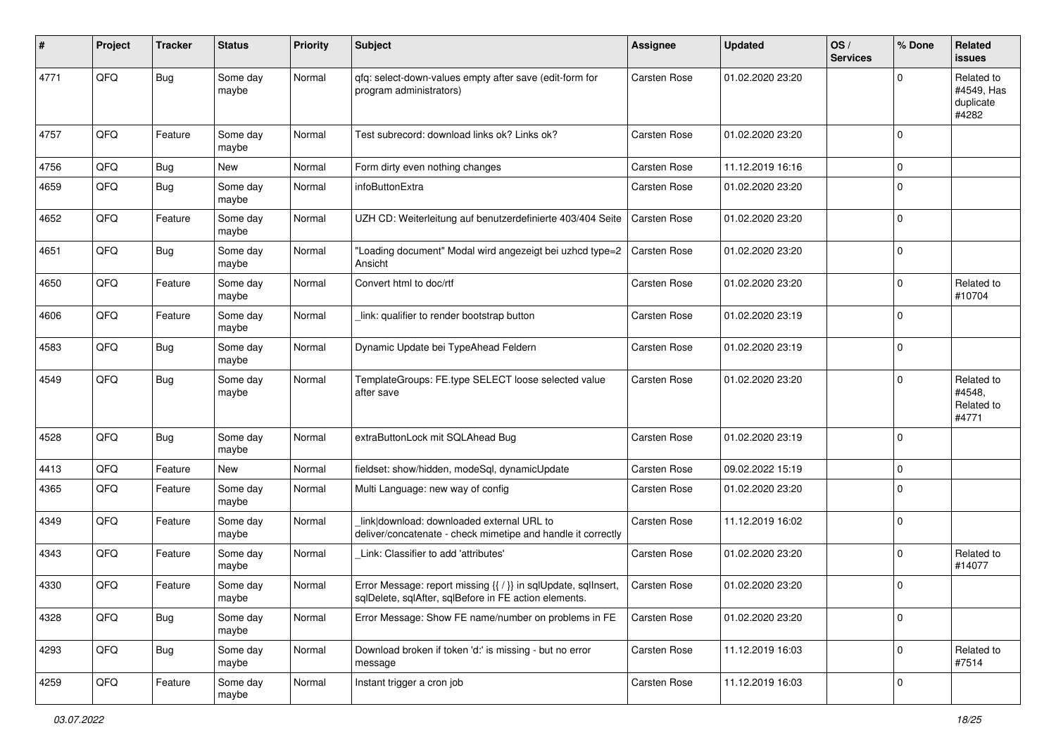| #    | Project | <b>Tracker</b> | <b>Status</b>     | <b>Priority</b> | <b>Subject</b>                                                                                                          | <b>Assignee</b>     | <b>Updated</b>   | OS/<br><b>Services</b> | % Done      | Related<br><b>issues</b>                       |
|------|---------|----------------|-------------------|-----------------|-------------------------------------------------------------------------------------------------------------------------|---------------------|------------------|------------------------|-------------|------------------------------------------------|
| 4771 | QFQ     | <b>Bug</b>     | Some day<br>maybe | Normal          | qfq: select-down-values empty after save (edit-form for<br>program administrators)                                      | <b>Carsten Rose</b> | 01.02.2020 23:20 |                        | $\Omega$    | Related to<br>#4549, Has<br>duplicate<br>#4282 |
| 4757 | QFQ     | Feature        | Some day<br>maybe | Normal          | Test subrecord: download links ok? Links ok?                                                                            | <b>Carsten Rose</b> | 01.02.2020 23:20 |                        | $\Omega$    |                                                |
| 4756 | QFQ     | Bug            | New               | Normal          | Form dirty even nothing changes                                                                                         | Carsten Rose        | 11.12.2019 16:16 |                        | $\mathbf 0$ |                                                |
| 4659 | QFQ     | Bug            | Some day<br>maybe | Normal          | infoButtonExtra                                                                                                         | Carsten Rose        | 01.02.2020 23:20 |                        | $\mathbf 0$ |                                                |
| 4652 | QFQ     | Feature        | Some day<br>maybe | Normal          | UZH CD: Weiterleitung auf benutzerdefinierte 403/404 Seite                                                              | Carsten Rose        | 01.02.2020 23:20 |                        | $\mathbf 0$ |                                                |
| 4651 | QFQ     | Bug            | Some day<br>maybe | Normal          | "Loading document" Modal wird angezeigt bei uzhcd type=2<br>Ansicht                                                     | <b>Carsten Rose</b> | 01.02.2020 23:20 |                        | $\mathbf 0$ |                                                |
| 4650 | QFQ     | Feature        | Some day<br>maybe | Normal          | Convert html to doc/rtf                                                                                                 | Carsten Rose        | 01.02.2020 23:20 |                        | $\mathbf 0$ | Related to<br>#10704                           |
| 4606 | QFQ     | Feature        | Some day<br>maybe | Normal          | link: qualifier to render bootstrap button                                                                              | Carsten Rose        | 01.02.2020 23:19 |                        | $\mathbf 0$ |                                                |
| 4583 | QFQ     | <b>Bug</b>     | Some day<br>maybe | Normal          | Dynamic Update bei TypeAhead Feldern                                                                                    | Carsten Rose        | 01.02.2020 23:19 |                        | $\mathbf 0$ |                                                |
| 4549 | QFQ     | Bug            | Some day<br>maybe | Normal          | TemplateGroups: FE.type SELECT loose selected value<br>after save                                                       | <b>Carsten Rose</b> | 01.02.2020 23:20 |                        | $\Omega$    | Related to<br>#4548,<br>Related to<br>#4771    |
| 4528 | QFQ     | <b>Bug</b>     | Some day<br>maybe | Normal          | extraButtonLock mit SQLAhead Bug                                                                                        | Carsten Rose        | 01.02.2020 23:19 |                        | 0           |                                                |
| 4413 | QFQ     | Feature        | <b>New</b>        | Normal          | fieldset: show/hidden, modeSql, dynamicUpdate                                                                           | <b>Carsten Rose</b> | 09.02.2022 15:19 |                        | $\mathbf 0$ |                                                |
| 4365 | QFQ     | Feature        | Some day<br>maybe | Normal          | Multi Language: new way of config                                                                                       | Carsten Rose        | 01.02.2020 23:20 |                        | $\mathbf 0$ |                                                |
| 4349 | QFQ     | Feature        | Some day<br>maybe | Normal          | link download: downloaded external URL to<br>deliver/concatenate - check mimetipe and handle it correctly               | <b>Carsten Rose</b> | 11.12.2019 16:02 |                        | $\Omega$    |                                                |
| 4343 | QFQ     | Feature        | Some day<br>maybe | Normal          | Link: Classifier to add 'attributes'                                                                                    | Carsten Rose        | 01.02.2020 23:20 |                        | $\mathbf 0$ | Related to<br>#14077                           |
| 4330 | QFQ     | Feature        | Some day<br>maybe | Normal          | Error Message: report missing {{ / }} in sqlUpdate, sqlInsert,<br>sqlDelete, sqlAfter, sqlBefore in FE action elements. | <b>Carsten Rose</b> | 01.02.2020 23:20 |                        | $\mathbf 0$ |                                                |
| 4328 | QFQ     | Bug            | Some day<br>maybe | Normal          | Error Message: Show FE name/number on problems in FE                                                                    | Carsten Rose        | 01.02.2020 23:20 |                        | $\mathbf 0$ |                                                |
| 4293 | QFO     | <b>Bug</b>     | Some day<br>maybe | Normal          | Download broken if token 'd:' is missing - but no error<br>message                                                      | Carsten Rose        | 11.12.2019 16:03 |                        | $\mathbf 0$ | Related to<br>#7514                            |
| 4259 | QFG     | Feature        | Some day<br>maybe | Normal          | Instant trigger a cron job                                                                                              | Carsten Rose        | 11.12.2019 16:03 |                        | 0           |                                                |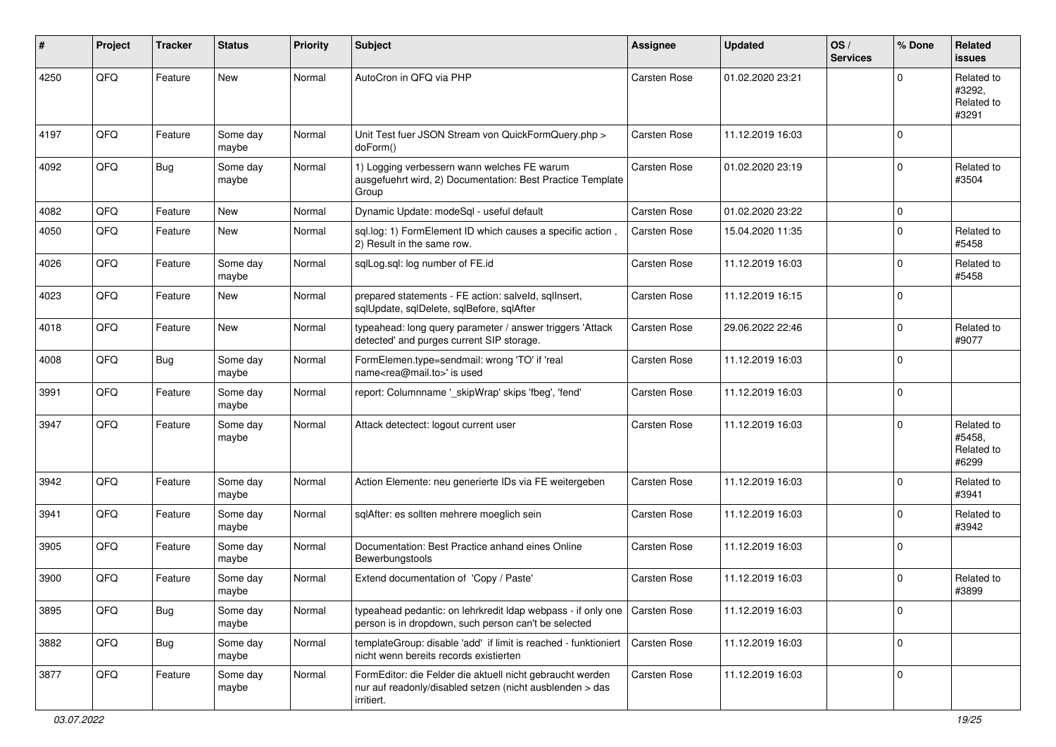| ∦    | Project | <b>Tracker</b> | <b>Status</b>     | <b>Priority</b> | Subject                                                                                                                             | <b>Assignee</b>     | <b>Updated</b>   | OS/<br><b>Services</b> | % Done      | Related<br><b>issues</b>                    |
|------|---------|----------------|-------------------|-----------------|-------------------------------------------------------------------------------------------------------------------------------------|---------------------|------------------|------------------------|-------------|---------------------------------------------|
| 4250 | QFQ     | Feature        | <b>New</b>        | Normal          | AutoCron in QFQ via PHP                                                                                                             | Carsten Rose        | 01.02.2020 23:21 |                        | 0           | Related to<br>#3292.<br>Related to<br>#3291 |
| 4197 | QFQ     | Feature        | Some day<br>maybe | Normal          | Unit Test fuer JSON Stream von QuickFormQuery.php ><br>doForm()                                                                     | Carsten Rose        | 11.12.2019 16:03 |                        | 0           |                                             |
| 4092 | QFQ     | <b>Bug</b>     | Some day<br>maybe | Normal          | 1) Logging verbessern wann welches FE warum<br>ausgefuehrt wird, 2) Documentation: Best Practice Template<br>Group                  | <b>Carsten Rose</b> | 01.02.2020 23:19 |                        | 0           | Related to<br>#3504                         |
| 4082 | QFQ     | Feature        | <b>New</b>        | Normal          | Dynamic Update: modeSql - useful default                                                                                            | <b>Carsten Rose</b> | 01.02.2020 23:22 |                        | 0           |                                             |
| 4050 | QFQ     | Feature        | <b>New</b>        | Normal          | sql.log: 1) FormElement ID which causes a specific action,<br>2) Result in the same row.                                            | Carsten Rose        | 15.04.2020 11:35 |                        | 0           | Related to<br>#5458                         |
| 4026 | QFQ     | Feature        | Some day<br>maybe | Normal          | sqlLog.sql: log number of FE.id                                                                                                     | Carsten Rose        | 11.12.2019 16:03 |                        | $\mathbf 0$ | Related to<br>#5458                         |
| 4023 | QFQ     | Feature        | <b>New</b>        | Normal          | prepared statements - FE action: salveld, sqllnsert,<br>sqlUpdate, sqlDelete, sqlBefore, sqlAfter                                   | Carsten Rose        | 11.12.2019 16:15 |                        | 0           |                                             |
| 4018 | QFQ     | Feature        | <b>New</b>        | Normal          | typeahead: long query parameter / answer triggers 'Attack<br>detected' and purges current SIP storage.                              | Carsten Rose        | 29.06.2022 22:46 |                        | $\Omega$    | Related to<br>#9077                         |
| 4008 | QFQ     | <b>Bug</b>     | Some day<br>maybe | Normal          | FormElemen.type=sendmail: wrong 'TO' if 'real<br>name <rea@mail.to>' is used</rea@mail.to>                                          | Carsten Rose        | 11.12.2019 16:03 |                        | 0           |                                             |
| 3991 | QFQ     | Feature        | Some day<br>maybe | Normal          | report: Columnname '_skipWrap' skips 'fbeg', 'fend'                                                                                 | Carsten Rose        | 11.12.2019 16:03 |                        | 0           |                                             |
| 3947 | QFQ     | Feature        | Some day<br>maybe | Normal          | Attack detectect: logout current user                                                                                               | Carsten Rose        | 11.12.2019 16:03 |                        | 0           | Related to<br>#5458.<br>Related to<br>#6299 |
| 3942 | QFQ     | Feature        | Some day<br>maybe | Normal          | Action Elemente: neu generierte IDs via FE weitergeben                                                                              | Carsten Rose        | 11.12.2019 16:03 |                        | $\Omega$    | Related to<br>#3941                         |
| 3941 | QFQ     | Feature        | Some day<br>maybe | Normal          | sqlAfter: es sollten mehrere moeglich sein                                                                                          | Carsten Rose        | 11.12.2019 16:03 |                        | $\Omega$    | Related to<br>#3942                         |
| 3905 | QFQ     | Feature        | Some day<br>maybe | Normal          | Documentation: Best Practice anhand eines Online<br>Bewerbungstools                                                                 | Carsten Rose        | 11.12.2019 16:03 |                        | $\Omega$    |                                             |
| 3900 | QFQ     | Feature        | Some day<br>maybe | Normal          | Extend documentation of 'Copy / Paste'                                                                                              | Carsten Rose        | 11.12.2019 16:03 |                        | 0           | Related to<br>#3899                         |
| 3895 | QFG     | <b>Bug</b>     | Some day<br>maybe | Normal          | typeahead pedantic: on lehrkredit Idap webpass - if only one<br>person is in dropdown, such person can't be selected                | Carsten Rose        | 11.12.2019 16:03 |                        | 0           |                                             |
| 3882 | QFO     | <b>Bug</b>     | Some day<br>maybe | Normal          | templateGroup: disable 'add' if limit is reached - funktioniert<br>nicht wenn bereits records existierten                           | <b>Carsten Rose</b> | 11.12.2019 16:03 |                        | 0           |                                             |
| 3877 | QFQ     | Feature        | Some day<br>maybe | Normal          | FormEditor: die Felder die aktuell nicht gebraucht werden<br>nur auf readonly/disabled setzen (nicht ausblenden > das<br>irritiert. | Carsten Rose        | 11.12.2019 16:03 |                        | 0           |                                             |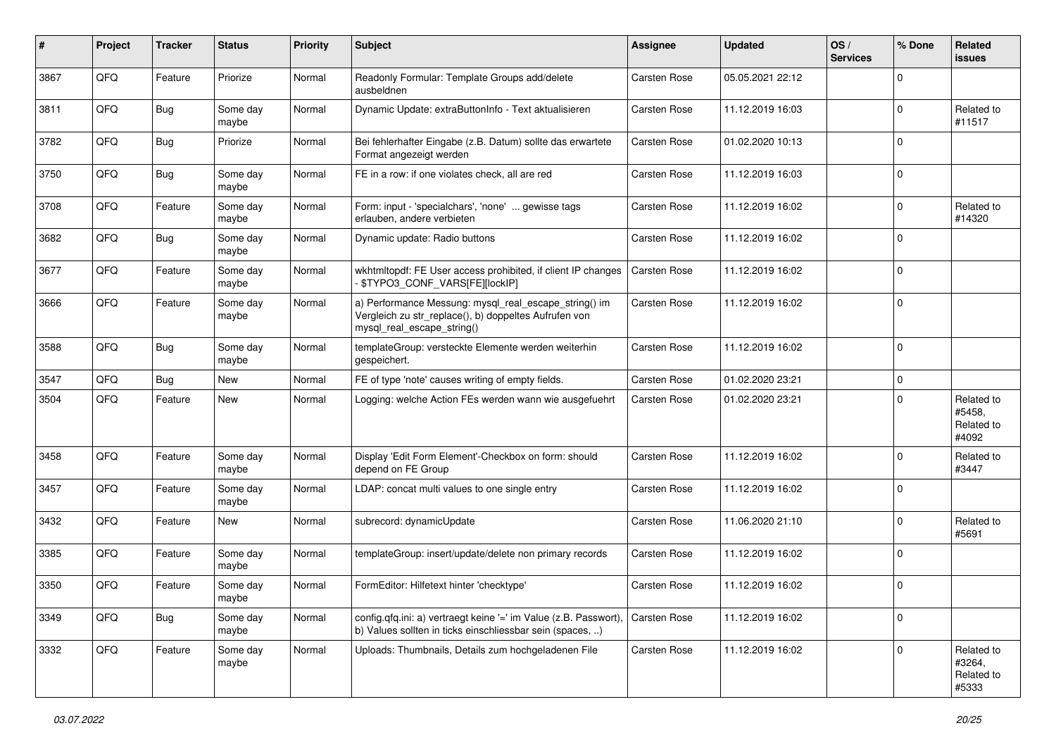| #    | Project | <b>Tracker</b> | <b>Status</b>     | <b>Priority</b> | <b>Subject</b>                                                                                                                               | Assignee            | <b>Updated</b>   | OS/<br><b>Services</b> | % Done      | Related<br>issues                           |
|------|---------|----------------|-------------------|-----------------|----------------------------------------------------------------------------------------------------------------------------------------------|---------------------|------------------|------------------------|-------------|---------------------------------------------|
| 3867 | QFQ     | Feature        | Priorize          | Normal          | Readonly Formular: Template Groups add/delete<br>ausbeldnen                                                                                  | <b>Carsten Rose</b> | 05.05.2021 22:12 |                        | $\Omega$    |                                             |
| 3811 | QFQ     | Bug            | Some day<br>maybe | Normal          | Dynamic Update: extraButtonInfo - Text aktualisieren                                                                                         | <b>Carsten Rose</b> | 11.12.2019 16:03 |                        | $\mathbf 0$ | Related to<br>#11517                        |
| 3782 | QFQ     | <b>Bug</b>     | Priorize          | Normal          | Bei fehlerhafter Eingabe (z.B. Datum) sollte das erwartete<br>Format angezeigt werden                                                        | Carsten Rose        | 01.02.2020 10:13 |                        | $\mathbf 0$ |                                             |
| 3750 | QFQ     | Bug            | Some day<br>maybe | Normal          | FE in a row: if one violates check, all are red                                                                                              | Carsten Rose        | 11.12.2019 16:03 |                        | $\mathbf 0$ |                                             |
| 3708 | QFQ     | Feature        | Some day<br>maybe | Normal          | Form: input - 'specialchars', 'none'  gewisse tags<br>erlauben, andere verbieten                                                             | Carsten Rose        | 11.12.2019 16:02 |                        | $\Omega$    | Related to<br>#14320                        |
| 3682 | QFQ     | Bug            | Some day<br>maybe | Normal          | Dynamic update: Radio buttons                                                                                                                | <b>Carsten Rose</b> | 11.12.2019 16:02 |                        | $\Omega$    |                                             |
| 3677 | QFQ     | Feature        | Some day<br>maybe | Normal          | wkhtmltopdf: FE User access prohibited, if client IP changes<br>\$TYPO3_CONF_VARS[FE][lockIP]                                                | Carsten Rose        | 11.12.2019 16:02 |                        | $\mathbf 0$ |                                             |
| 3666 | QFQ     | Feature        | Some day<br>maybe | Normal          | a) Performance Messung: mysql_real_escape_string() im<br>Vergleich zu str_replace(), b) doppeltes Aufrufen von<br>mysql_real_escape_string() | <b>Carsten Rose</b> | 11.12.2019 16:02 |                        | $\mathbf 0$ |                                             |
| 3588 | QFQ     | <b>Bug</b>     | Some day<br>maybe | Normal          | templateGroup: versteckte Elemente werden weiterhin<br>gespeichert.                                                                          | <b>Carsten Rose</b> | 11.12.2019 16:02 |                        | $\Omega$    |                                             |
| 3547 | QFQ     | Bug            | <b>New</b>        | Normal          | FE of type 'note' causes writing of empty fields.                                                                                            | Carsten Rose        | 01.02.2020 23:21 |                        | $\mathbf 0$ |                                             |
| 3504 | QFQ     | Feature        | <b>New</b>        | Normal          | Logging: welche Action FEs werden wann wie ausgefuehrt                                                                                       | Carsten Rose        | 01.02.2020 23:21 |                        | $\mathbf 0$ | Related to<br>#5458,<br>Related to<br>#4092 |
| 3458 | QFQ     | Feature        | Some day<br>maybe | Normal          | Display 'Edit Form Element'-Checkbox on form: should<br>depend on FE Group                                                                   | <b>Carsten Rose</b> | 11.12.2019 16:02 |                        | $\Omega$    | Related to<br>#3447                         |
| 3457 | QFQ     | Feature        | Some day<br>maybe | Normal          | LDAP: concat multi values to one single entry                                                                                                | Carsten Rose        | 11.12.2019 16:02 |                        | $\mathbf 0$ |                                             |
| 3432 | QFQ     | Feature        | <b>New</b>        | Normal          | subrecord: dynamicUpdate                                                                                                                     | Carsten Rose        | 11.06.2020 21:10 |                        | $\Omega$    | Related to<br>#5691                         |
| 3385 | QFQ     | Feature        | Some day<br>maybe | Normal          | templateGroup: insert/update/delete non primary records                                                                                      | Carsten Rose        | 11.12.2019 16:02 |                        | $\mathbf 0$ |                                             |
| 3350 | QFQ     | Feature        | Some day<br>maybe | Normal          | FormEditor: Hilfetext hinter 'checktype'                                                                                                     | <b>Carsten Rose</b> | 11.12.2019 16:02 |                        | $\mathbf 0$ |                                             |
| 3349 | QFQ     | <b>Bug</b>     | Some day<br>maybe | Normal          | config.qfq.ini: a) vertraegt keine '=' im Value (z.B. Passwort),  <br>b) Values sollten in ticks einschliessbar sein (spaces, )              | l Carsten Rose      | 11.12.2019 16:02 |                        | $\mathbf 0$ |                                             |
| 3332 | QFO     | Feature        | Some day<br>maybe | Normal          | Uploads: Thumbnails, Details zum hochgeladenen File                                                                                          | Carsten Rose        | 11.12.2019 16:02 |                        | $\mathbf 0$ | Related to<br>#3264,<br>Related to<br>#5333 |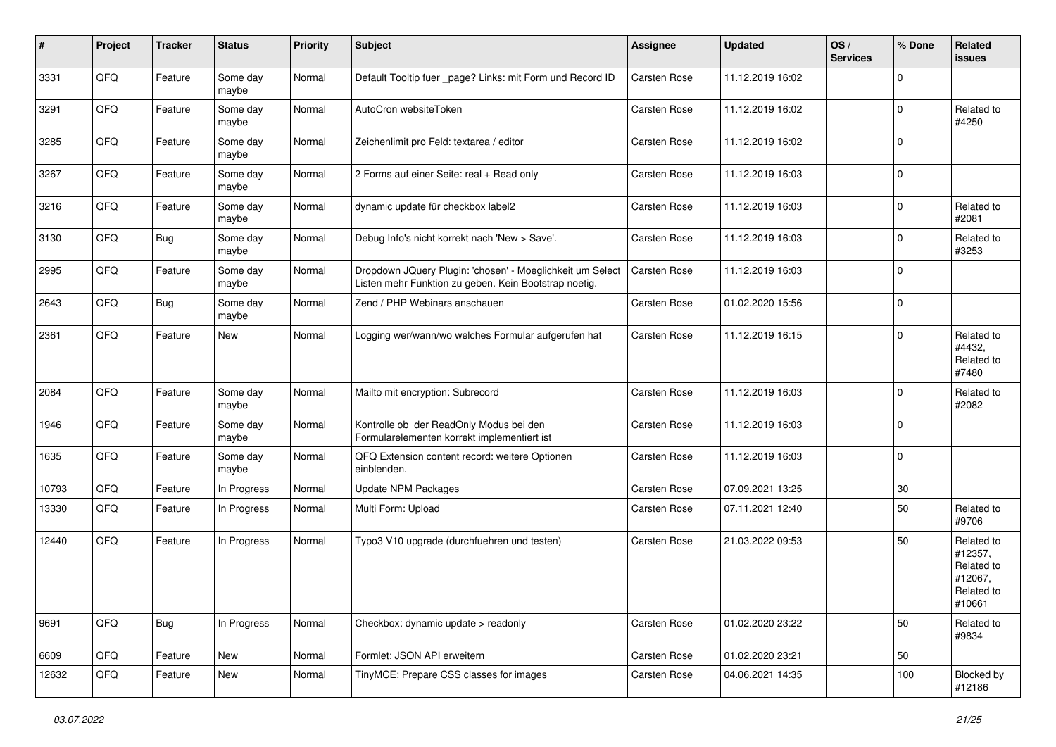| $\vert$ # | Project | <b>Tracker</b> | <b>Status</b>     | <b>Priority</b> | Subject                                                                                                            | <b>Assignee</b>     | <b>Updated</b>   | OS/<br><b>Services</b> | % Done      | Related<br><b>issues</b>                                               |
|-----------|---------|----------------|-------------------|-----------------|--------------------------------------------------------------------------------------------------------------------|---------------------|------------------|------------------------|-------------|------------------------------------------------------------------------|
| 3331      | QFQ     | Feature        | Some day<br>maybe | Normal          | Default Tooltip fuer _page? Links: mit Form und Record ID                                                          | Carsten Rose        | 11.12.2019 16:02 |                        | 0           |                                                                        |
| 3291      | QFQ     | Feature        | Some day<br>maybe | Normal          | AutoCron websiteToken                                                                                              | Carsten Rose        | 11.12.2019 16:02 |                        | $\mathbf 0$ | Related to<br>#4250                                                    |
| 3285      | QFQ     | Feature        | Some day<br>maybe | Normal          | Zeichenlimit pro Feld: textarea / editor                                                                           | Carsten Rose        | 11.12.2019 16:02 |                        | 0           |                                                                        |
| 3267      | QFQ     | Feature        | Some day<br>maybe | Normal          | 2 Forms auf einer Seite: real + Read only                                                                          | Carsten Rose        | 11.12.2019 16:03 |                        | 0           |                                                                        |
| 3216      | QFQ     | Feature        | Some day<br>maybe | Normal          | dynamic update für checkbox label2                                                                                 | Carsten Rose        | 11.12.2019 16:03 |                        | 0           | Related to<br>#2081                                                    |
| 3130      | QFQ     | <b>Bug</b>     | Some day<br>maybe | Normal          | Debug Info's nicht korrekt nach 'New > Save'.                                                                      | Carsten Rose        | 11.12.2019 16:03 |                        | 0           | Related to<br>#3253                                                    |
| 2995      | QFQ     | Feature        | Some day<br>maybe | Normal          | Dropdown JQuery Plugin: 'chosen' - Moeglichkeit um Select<br>Listen mehr Funktion zu geben. Kein Bootstrap noetig. | Carsten Rose        | 11.12.2019 16:03 |                        | 0           |                                                                        |
| 2643      | QFQ     | <b>Bug</b>     | Some day<br>maybe | Normal          | Zend / PHP Webinars anschauen                                                                                      | Carsten Rose        | 01.02.2020 15:56 |                        | 0           |                                                                        |
| 2361      | QFQ     | Feature        | New               | Normal          | Logging wer/wann/wo welches Formular aufgerufen hat                                                                | Carsten Rose        | 11.12.2019 16:15 |                        | 0           | Related to<br>#4432,<br>Related to<br>#7480                            |
| 2084      | QFQ     | Feature        | Some day<br>maybe | Normal          | Mailto mit encryption: Subrecord                                                                                   | <b>Carsten Rose</b> | 11.12.2019 16:03 |                        | 0           | Related to<br>#2082                                                    |
| 1946      | QFQ     | Feature        | Some day<br>maybe | Normal          | Kontrolle ob der ReadOnly Modus bei den<br>Formularelementen korrekt implementiert ist                             | Carsten Rose        | 11.12.2019 16:03 |                        | 0           |                                                                        |
| 1635      | QFQ     | Feature        | Some day<br>maybe | Normal          | QFQ Extension content record: weitere Optionen<br>einblenden.                                                      | Carsten Rose        | 11.12.2019 16:03 |                        | 0           |                                                                        |
| 10793     | QFQ     | Feature        | In Progress       | Normal          | <b>Update NPM Packages</b>                                                                                         | Carsten Rose        | 07.09.2021 13:25 |                        | 30          |                                                                        |
| 13330     | QFQ     | Feature        | In Progress       | Normal          | Multi Form: Upload                                                                                                 | Carsten Rose        | 07.11.2021 12:40 |                        | 50          | Related to<br>#9706                                                    |
| 12440     | QFQ     | Feature        | In Progress       | Normal          | Typo3 V10 upgrade (durchfuehren und testen)                                                                        | Carsten Rose        | 21.03.2022 09:53 |                        | 50          | Related to<br>#12357,<br>Related to<br>#12067,<br>Related to<br>#10661 |
| 9691      | QFO     | <b>Bug</b>     | In Progress       | Normal          | Checkbox: dynamic update > readonly                                                                                | Carsten Rose        | 01.02.2020 23:22 |                        | 50          | Related to<br>#9834                                                    |
| 6609      | QFQ     | Feature        | New               | Normal          | Formlet: JSON API erweitern                                                                                        | Carsten Rose        | 01.02.2020 23:21 |                        | 50          |                                                                        |
| 12632     | QFQ     | Feature        | New               | Normal          | TinyMCE: Prepare CSS classes for images                                                                            | Carsten Rose        | 04.06.2021 14:35 |                        | 100         | Blocked by<br>#12186                                                   |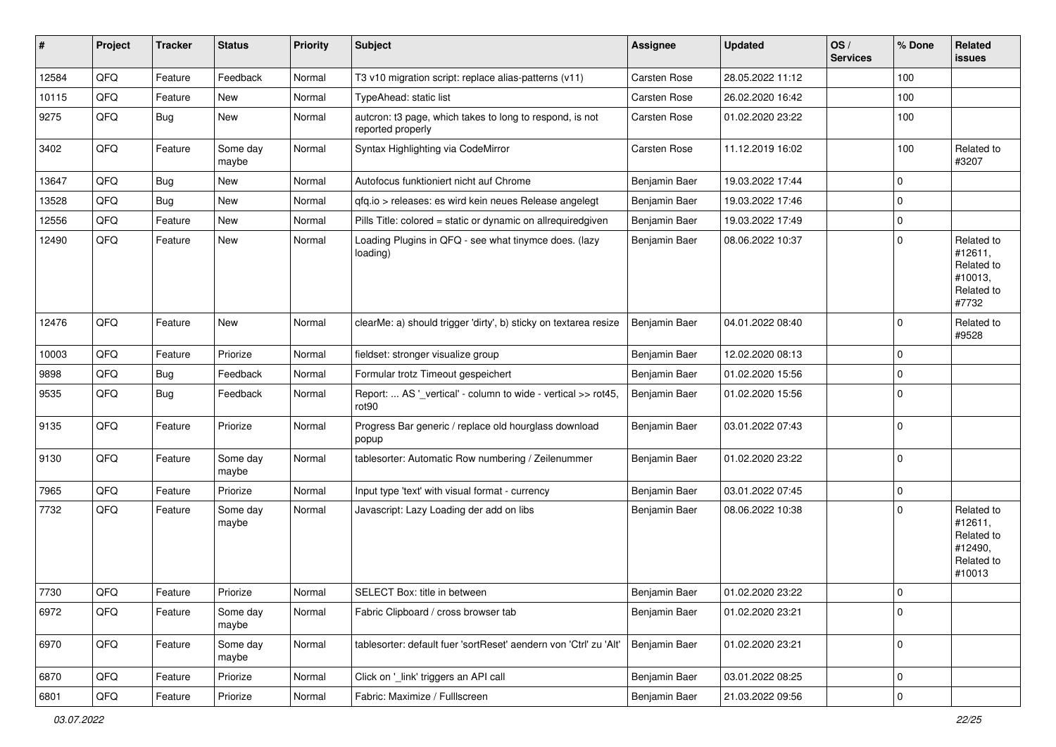| #     | Project | <b>Tracker</b> | <b>Status</b>     | <b>Priority</b> | <b>Subject</b>                                                                     | <b>Assignee</b> | <b>Updated</b>   | OS/<br><b>Services</b> | ∣% Done     | Related<br>issues                                                      |
|-------|---------|----------------|-------------------|-----------------|------------------------------------------------------------------------------------|-----------------|------------------|------------------------|-------------|------------------------------------------------------------------------|
| 12584 | QFQ     | Feature        | Feedback          | Normal          | T3 v10 migration script: replace alias-patterns (v11)                              | Carsten Rose    | 28.05.2022 11:12 |                        | 100         |                                                                        |
| 10115 | QFQ     | Feature        | New               | Normal          | TypeAhead: static list                                                             | Carsten Rose    | 26.02.2020 16:42 |                        | 100         |                                                                        |
| 9275  | QFQ     | <b>Bug</b>     | New               | Normal          | autcron: t3 page, which takes to long to respond, is not<br>reported properly      | Carsten Rose    | 01.02.2020 23:22 |                        | 100         |                                                                        |
| 3402  | QFQ     | Feature        | Some day<br>maybe | Normal          | Syntax Highlighting via CodeMirror                                                 | Carsten Rose    | 11.12.2019 16:02 |                        | 100         | Related to<br>#3207                                                    |
| 13647 | QFQ     | <b>Bug</b>     | New               | Normal          | Autofocus funktioniert nicht auf Chrome                                            | Benjamin Baer   | 19.03.2022 17:44 |                        | 0           |                                                                        |
| 13528 | QFQ     | <b>Bug</b>     | New               | Normal          | qfq.io > releases: es wird kein neues Release angelegt                             | Benjamin Baer   | 19.03.2022 17:46 |                        | $\mathbf 0$ |                                                                        |
| 12556 | QFQ     | Feature        | <b>New</b>        | Normal          | Pills Title: colored = static or dynamic on allrequiredgiven                       | Benjamin Baer   | 19.03.2022 17:49 |                        | $\mathbf 0$ |                                                                        |
| 12490 | QFQ     | Feature        | New               | Normal          | Loading Plugins in QFQ - see what tinymce does. (lazy<br>loading)                  | Benjamin Baer   | 08.06.2022 10:37 |                        | $\mathbf 0$ | Related to<br>#12611,<br>Related to<br>#10013,<br>Related to<br>#7732  |
| 12476 | QFQ     | Feature        | New               | Normal          | clearMe: a) should trigger 'dirty', b) sticky on textarea resize                   | Benjamin Baer   | 04.01.2022 08:40 |                        | $\mathbf 0$ | Related to<br>#9528                                                    |
| 10003 | QFQ     | Feature        | Priorize          | Normal          | fieldset: stronger visualize group                                                 | Benjamin Baer   | 12.02.2020 08:13 |                        | $\mathbf 0$ |                                                                        |
| 9898  | QFQ     | Bug            | Feedback          | Normal          | Formular trotz Timeout gespeichert                                                 | Benjamin Baer   | 01.02.2020 15:56 |                        | $\mathbf 0$ |                                                                        |
| 9535  | QFQ     | Bug            | Feedback          | Normal          | Report:  AS '_vertical' - column to wide - vertical >> rot45,<br>rot <sub>90</sub> | Benjamin Baer   | 01.02.2020 15:56 |                        | $\mathbf 0$ |                                                                        |
| 9135  | QFQ     | Feature        | Priorize          | Normal          | Progress Bar generic / replace old hourglass download<br>popup                     | Benjamin Baer   | 03.01.2022 07:43 |                        | $\mathbf 0$ |                                                                        |
| 9130  | QFQ     | Feature        | Some day<br>maybe | Normal          | tablesorter: Automatic Row numbering / Zeilenummer                                 | Benjamin Baer   | 01.02.2020 23:22 |                        | $\mathbf 0$ |                                                                        |
| 7965  | QFQ     | Feature        | Priorize          | Normal          | Input type 'text' with visual format - currency                                    | Benjamin Baer   | 03.01.2022 07:45 |                        | $\mathbf 0$ |                                                                        |
| 7732  | QFQ     | Feature        | Some day<br>maybe | Normal          | Javascript: Lazy Loading der add on libs                                           | Benjamin Baer   | 08.06.2022 10:38 |                        | $\mathbf 0$ | Related to<br>#12611,<br>Related to<br>#12490,<br>Related to<br>#10013 |
| 7730  | QFQ     | Feature        | Priorize          | Normal          | SELECT Box: title in between                                                       | Benjamin Baer   | 01.02.2020 23:22 |                        | $\mathbf 0$ |                                                                        |
| 6972  | QFQ     | Feature        | Some day<br>maybe | Normal          | Fabric Clipboard / cross browser tab                                               | Benjamin Baer   | 01.02.2020 23:21 |                        | $\pmb{0}$   |                                                                        |
| 6970  | QFQ     | Feature        | Some day<br>maybe | Normal          | tablesorter: default fuer 'sortReset' aendern von 'Ctrl' zu 'Alt'                  | Benjamin Baer   | 01.02.2020 23:21 |                        | $\mathbf 0$ |                                                                        |
| 6870  | QFQ     | Feature        | Priorize          | Normal          | Click on '_link' triggers an API call                                              | Benjamin Baer   | 03.01.2022 08:25 |                        | 0           |                                                                        |
| 6801  | QFQ     | Feature        | Priorize          | Normal          | Fabric: Maximize / Fulllscreen                                                     | Benjamin Baer   | 21.03.2022 09:56 |                        | $\pmb{0}$   |                                                                        |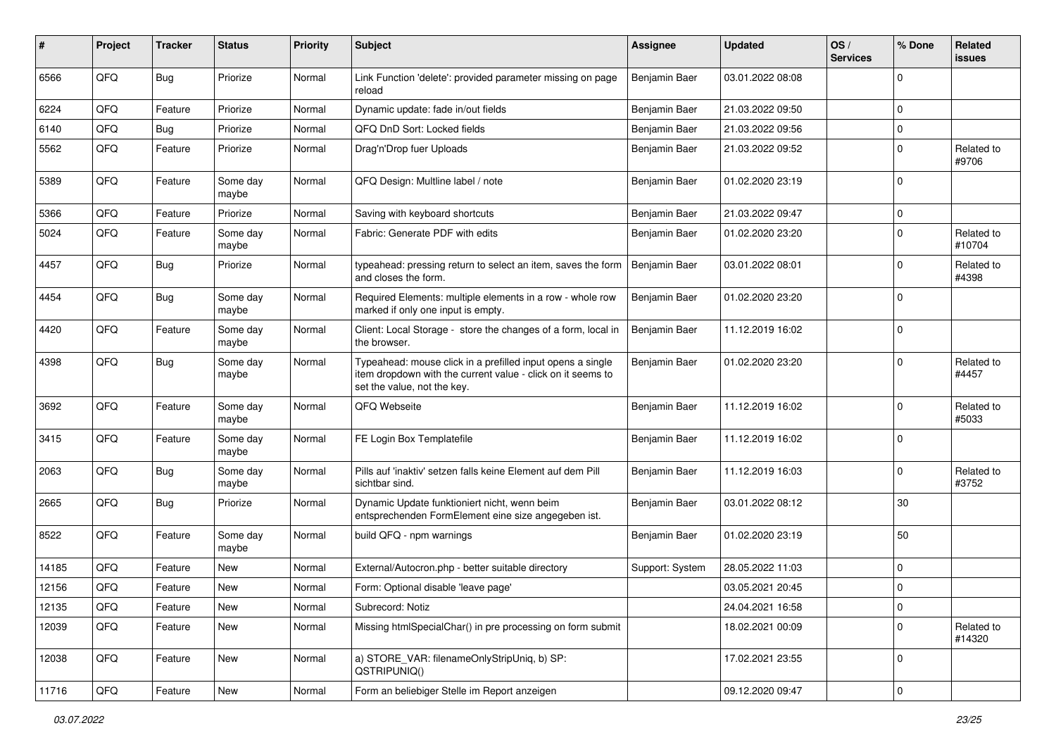| ∦     | Project | <b>Tracker</b> | <b>Status</b>     | <b>Priority</b> | Subject                                                                                                                                                  | <b>Assignee</b> | <b>Updated</b>   | OS/<br><b>Services</b> | % Done      | Related<br><b>issues</b> |
|-------|---------|----------------|-------------------|-----------------|----------------------------------------------------------------------------------------------------------------------------------------------------------|-----------------|------------------|------------------------|-------------|--------------------------|
| 6566  | QFQ     | <b>Bug</b>     | Priorize          | Normal          | Link Function 'delete': provided parameter missing on page<br>reload                                                                                     | Benjamin Baer   | 03.01.2022 08:08 |                        | 0           |                          |
| 6224  | QFQ     | Feature        | Priorize          | Normal          | Dynamic update: fade in/out fields                                                                                                                       | Benjamin Baer   | 21.03.2022 09:50 |                        | 0           |                          |
| 6140  | QFQ     | <b>Bug</b>     | Priorize          | Normal          | QFQ DnD Sort: Locked fields                                                                                                                              | Benjamin Baer   | 21.03.2022 09:56 |                        | 0           |                          |
| 5562  | QFQ     | Feature        | Priorize          | Normal          | Drag'n'Drop fuer Uploads                                                                                                                                 | Benjamin Baer   | 21.03.2022 09:52 |                        | 0           | Related to<br>#9706      |
| 5389  | QFQ     | Feature        | Some day<br>maybe | Normal          | QFQ Design: Multline label / note                                                                                                                        | Benjamin Baer   | 01.02.2020 23:19 |                        | 0           |                          |
| 5366  | QFQ     | Feature        | Priorize          | Normal          | Saving with keyboard shortcuts                                                                                                                           | Benjamin Baer   | 21.03.2022 09:47 |                        | 0           |                          |
| 5024  | QFQ     | Feature        | Some day<br>maybe | Normal          | Fabric: Generate PDF with edits                                                                                                                          | Benjamin Baer   | 01.02.2020 23:20 |                        | $\mathbf 0$ | Related to<br>#10704     |
| 4457  | QFQ     | <b>Bug</b>     | Priorize          | Normal          | typeahead: pressing return to select an item, saves the form<br>and closes the form.                                                                     | Benjamin Baer   | 03.01.2022 08:01 |                        | 0           | Related to<br>#4398      |
| 4454  | QFQ     | <b>Bug</b>     | Some day<br>maybe | Normal          | Required Elements: multiple elements in a row - whole row<br>marked if only one input is empty.                                                          | Benjamin Baer   | 01.02.2020 23:20 |                        | $\Omega$    |                          |
| 4420  | QFQ     | Feature        | Some day<br>maybe | Normal          | Client: Local Storage - store the changes of a form, local in<br>the browser.                                                                            | Benjamin Baer   | 11.12.2019 16:02 |                        | 0           |                          |
| 4398  | QFQ     | <b>Bug</b>     | Some day<br>maybe | Normal          | Typeahead: mouse click in a prefilled input opens a single<br>item dropdown with the current value - click on it seems to<br>set the value, not the key. | Benjamin Baer   | 01.02.2020 23:20 |                        | 0           | Related to<br>#4457      |
| 3692  | QFQ     | Feature        | Some day<br>maybe | Normal          | QFQ Webseite                                                                                                                                             | Benjamin Baer   | 11.12.2019 16:02 |                        | 0           | Related to<br>#5033      |
| 3415  | QFQ     | Feature        | Some day<br>maybe | Normal          | FE Login Box Templatefile                                                                                                                                | Benjamin Baer   | 11.12.2019 16:02 |                        | 0           |                          |
| 2063  | QFQ     | Bug            | Some day<br>maybe | Normal          | Pills auf 'inaktiv' setzen falls keine Element auf dem Pill<br>sichtbar sind.                                                                            | Benjamin Baer   | 11.12.2019 16:03 |                        | 0           | Related to<br>#3752      |
| 2665  | QFQ     | <b>Bug</b>     | Priorize          | Normal          | Dynamic Update funktioniert nicht, wenn beim<br>entsprechenden FormElement eine size angegeben ist.                                                      | Benjamin Baer   | 03.01.2022 08:12 |                        | 30          |                          |
| 8522  | QFQ     | Feature        | Some day<br>maybe | Normal          | build QFQ - npm warnings                                                                                                                                 | Benjamin Baer   | 01.02.2020 23:19 |                        | 50          |                          |
| 14185 | QFQ     | Feature        | <b>New</b>        | Normal          | External/Autocron.php - better suitable directory                                                                                                        | Support: System | 28.05.2022 11:03 |                        | 0           |                          |
| 12156 | QFQ     | Feature        | New               | Normal          | Form: Optional disable 'leave page'                                                                                                                      |                 | 03.05.2021 20:45 |                        | 0           |                          |
| 12135 | QFQ     | Feature        | New               | Normal          | Subrecord: Notiz                                                                                                                                         |                 | 24.04.2021 16:58 |                        | 0           |                          |
| 12039 | QFQ     | Feature        | New               | Normal          | Missing htmlSpecialChar() in pre processing on form submit                                                                                               |                 | 18.02.2021 00:09 |                        | 0           | Related to<br>#14320     |
| 12038 | QFQ     | Feature        | New               | Normal          | a) STORE VAR: filenameOnlyStripUniq, b) SP:<br>QSTRIPUNIQ()                                                                                              |                 | 17.02.2021 23:55 |                        | 0           |                          |
| 11716 | QFQ     | Feature        | New               | Normal          | Form an beliebiger Stelle im Report anzeigen                                                                                                             |                 | 09.12.2020 09:47 |                        | 0           |                          |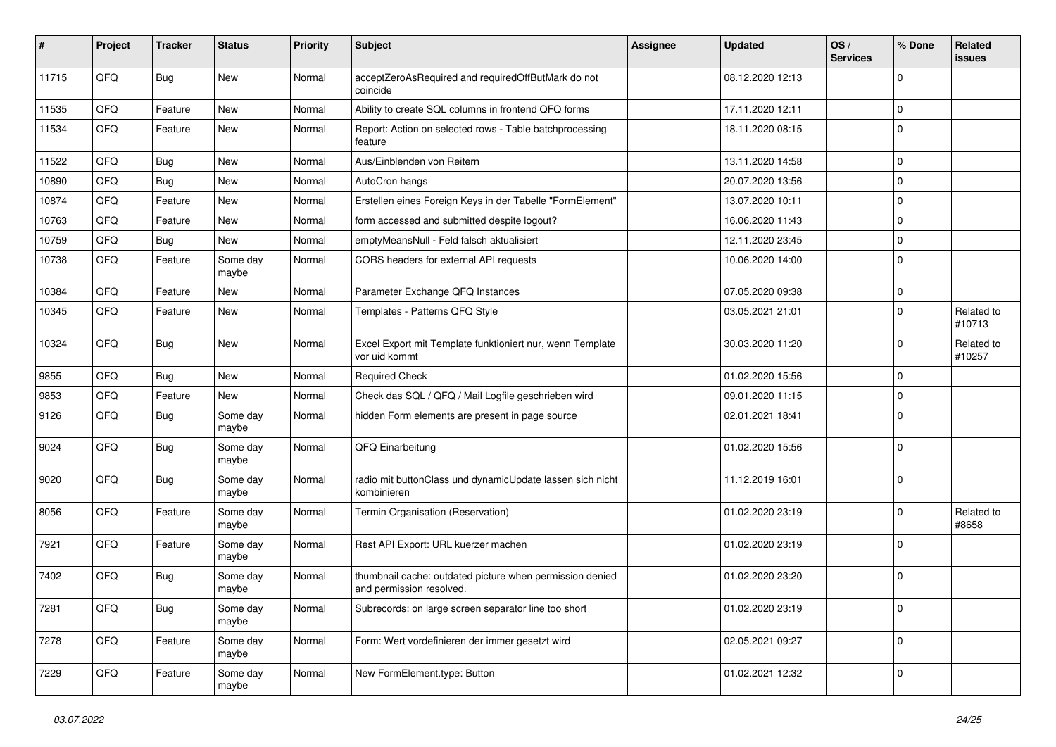| #     | Project | <b>Tracker</b> | <b>Status</b>     | <b>Priority</b> | <b>Subject</b>                                                                       | <b>Assignee</b> | <b>Updated</b>   | OS/<br><b>Services</b> | % Done      | Related<br>issues    |
|-------|---------|----------------|-------------------|-----------------|--------------------------------------------------------------------------------------|-----------------|------------------|------------------------|-------------|----------------------|
| 11715 | QFQ     | Bug            | <b>New</b>        | Normal          | acceptZeroAsRequired and requiredOffButMark do not<br>coincide                       |                 | 08.12.2020 12:13 |                        | $\mathbf 0$ |                      |
| 11535 | QFQ     | Feature        | <b>New</b>        | Normal          | Ability to create SQL columns in frontend QFQ forms                                  |                 | 17.11.2020 12:11 |                        | $\mathbf 0$ |                      |
| 11534 | QFQ     | Feature        | New               | Normal          | Report: Action on selected rows - Table batchprocessing<br>feature                   |                 | 18.11.2020 08:15 |                        | $\Omega$    |                      |
| 11522 | QFQ     | <b>Bug</b>     | New               | Normal          | Aus/Einblenden von Reitern                                                           |                 | 13.11.2020 14:58 |                        | $\Omega$    |                      |
| 10890 | QFQ     | Bug            | New               | Normal          | AutoCron hangs                                                                       |                 | 20.07.2020 13:56 |                        | 0           |                      |
| 10874 | QFQ     | Feature        | New               | Normal          | Erstellen eines Foreign Keys in der Tabelle "FormElement"                            |                 | 13.07.2020 10:11 |                        | $\mathbf 0$ |                      |
| 10763 | QFQ     | Feature        | New               | Normal          | form accessed and submitted despite logout?                                          |                 | 16.06.2020 11:43 |                        | $\Omega$    |                      |
| 10759 | QFQ     | Bug            | New               | Normal          | emptyMeansNull - Feld falsch aktualisiert                                            |                 | 12.11.2020 23:45 |                        | 0           |                      |
| 10738 | QFQ     | Feature        | Some day<br>maybe | Normal          | CORS headers for external API requests                                               |                 | 10.06.2020 14:00 |                        | $\mathbf 0$ |                      |
| 10384 | QFQ     | Feature        | New               | Normal          | Parameter Exchange QFQ Instances                                                     |                 | 07.05.2020 09:38 |                        | 0           |                      |
| 10345 | QFQ     | Feature        | New               | Normal          | Templates - Patterns QFQ Style                                                       |                 | 03.05.2021 21:01 |                        | $\Omega$    | Related to<br>#10713 |
| 10324 | QFQ     | <b>Bug</b>     | New               | Normal          | Excel Export mit Template funktioniert nur, wenn Template<br>vor uid kommt           |                 | 30.03.2020 11:20 |                        | $\Omega$    | Related to<br>#10257 |
| 9855  | QFQ     | Bug            | New               | Normal          | <b>Required Check</b>                                                                |                 | 01.02.2020 15:56 |                        | $\Omega$    |                      |
| 9853  | QFQ     | Feature        | New               | Normal          | Check das SQL / QFQ / Mail Logfile geschrieben wird                                  |                 | 09.01.2020 11:15 |                        | $\Omega$    |                      |
| 9126  | QFQ     | <b>Bug</b>     | Some day<br>maybe | Normal          | hidden Form elements are present in page source                                      |                 | 02.01.2021 18:41 |                        | $\Omega$    |                      |
| 9024  | QFQ     | <b>Bug</b>     | Some day<br>maybe | Normal          | QFQ Einarbeitung                                                                     |                 | 01.02.2020 15:56 |                        | $\Omega$    |                      |
| 9020  | QFQ     | <b>Bug</b>     | Some day<br>maybe | Normal          | radio mit buttonClass und dynamicUpdate lassen sich nicht<br>kombinieren             |                 | 11.12.2019 16:01 |                        | 0           |                      |
| 8056  | QFQ     | Feature        | Some day<br>maybe | Normal          | Termin Organisation (Reservation)                                                    |                 | 01.02.2020 23:19 |                        | 0           | Related to<br>#8658  |
| 7921  | QFQ     | Feature        | Some day<br>maybe | Normal          | Rest API Export: URL kuerzer machen                                                  |                 | 01.02.2020 23:19 |                        | $\mathbf 0$ |                      |
| 7402  | QFQ     | <b>Bug</b>     | Some day<br>maybe | Normal          | thumbnail cache: outdated picture when permission denied<br>and permission resolved. |                 | 01.02.2020 23:20 |                        | $\mathbf 0$ |                      |
| 7281  | QFQ     | <b>Bug</b>     | Some day<br>maybe | Normal          | Subrecords: on large screen separator line too short                                 |                 | 01.02.2020 23:19 |                        | 0           |                      |
| 7278  | QFQ     | Feature        | Some day<br>maybe | Normal          | Form: Wert vordefinieren der immer gesetzt wird                                      |                 | 02.05.2021 09:27 |                        | 0           |                      |
| 7229  | QFQ     | Feature        | Some day<br>maybe | Normal          | New FormElement.type: Button                                                         |                 | 01.02.2021 12:32 |                        | 0           |                      |